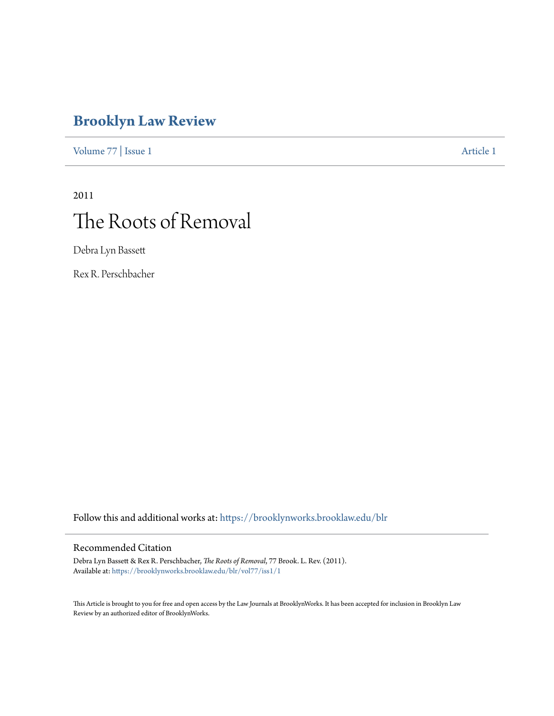# **[Brooklyn Law Review](https://brooklynworks.brooklaw.edu/blr?utm_source=brooklynworks.brooklaw.edu%2Fblr%2Fvol77%2Fiss1%2F1&utm_medium=PDF&utm_campaign=PDFCoverPages)**

[Volume 77](https://brooklynworks.brooklaw.edu/blr/vol77?utm_source=brooklynworks.brooklaw.edu%2Fblr%2Fvol77%2Fiss1%2F1&utm_medium=PDF&utm_campaign=PDFCoverPages) | [Issue 1](https://brooklynworks.brooklaw.edu/blr/vol77/iss1?utm_source=brooklynworks.brooklaw.edu%2Fblr%2Fvol77%2Fiss1%2F1&utm_medium=PDF&utm_campaign=PDFCoverPages) [Article 1](https://brooklynworks.brooklaw.edu/blr/vol77/iss1/1?utm_source=brooklynworks.brooklaw.edu%2Fblr%2Fvol77%2Fiss1%2F1&utm_medium=PDF&utm_campaign=PDFCoverPages)

# 2011 The Roots of Removal

Debra Lyn Bassett

Rex R. Perschbacher

Follow this and additional works at: [https://brooklynworks.brooklaw.edu/blr](https://brooklynworks.brooklaw.edu/blr?utm_source=brooklynworks.brooklaw.edu%2Fblr%2Fvol77%2Fiss1%2F1&utm_medium=PDF&utm_campaign=PDFCoverPages)

# Recommended Citation

Debra Lyn Bassett & Rex R. Perschbacher, *The Roots of Removal*, 77 Brook. L. Rev. (2011). Available at: [https://brooklynworks.brooklaw.edu/blr/vol77/iss1/1](https://brooklynworks.brooklaw.edu/blr/vol77/iss1/1?utm_source=brooklynworks.brooklaw.edu%2Fblr%2Fvol77%2Fiss1%2F1&utm_medium=PDF&utm_campaign=PDFCoverPages)

This Article is brought to you for free and open access by the Law Journals at BrooklynWorks. It has been accepted for inclusion in Brooklyn Law Review by an authorized editor of BrooklynWorks.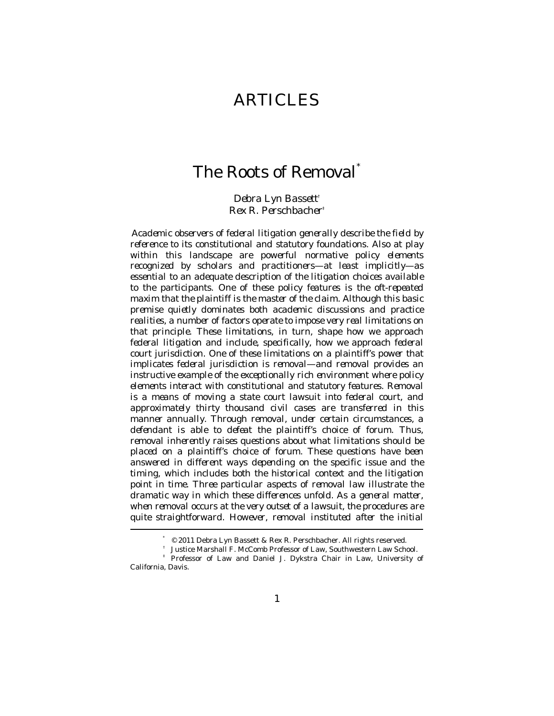# ARTICLES

# The Roots of Removal\*

*Debra Lyn Bassett*† *Rex R. Perschbacher*‡

*Academic observers of federal litigation generally describe the field by reference to its constitutional and statutory foundations. Also at play within this landscape are powerful normative policy elements recognized by scholars and practitioners—at least implicitly—as essential to an adequate description of the litigation choices available to the participants. One of these policy features is the oft-repeated maxim that the plaintiff is the master of the claim. Although this basic premise quietly dominates both academic discussions and practice realities, a number of factors operate to impose very real limitations on that principle. These limitations, in turn, shape how we approach federal litigation and include, specifically, how we approach federal court jurisdiction. One of these limitations on a plaintiff's power that implicates federal jurisdiction is removal—and removal provides an instructive example of the exceptionally rich environment where policy elements interact with constitutional and statutory features. Removal is a means of moving a state court lawsuit into federal court, and approximately thirty thousand civil cases are transferred in this manner annually. Through removal, under certain circumstances, a defendant is able to defeat the plaintiff's choice of forum. Thus, removal inherently raises questions about what limitations should be placed on a plaintiff's choice of forum. These questions have been answered in different ways depending on the specific issue and the timing, which includes both the historical context and the litigation point in time. Three particular aspects of removal law illustrate the dramatic way in which these differences unfold. As a general matter, when removal occurs at the very outset of a lawsuit, the procedures are quite straightforward. However, removal instituted after the initial* 

 <sup>\* © 2011</sup> Debra Lyn Bassett & Rex R. Perschbacher. All rights reserved.

<sup>†</sup> Justice Marshall F. McComb Professor of Law, Southwestern Law School.

Professor of Law and Daniel J. Dykstra Chair in Law, University of California, Davis.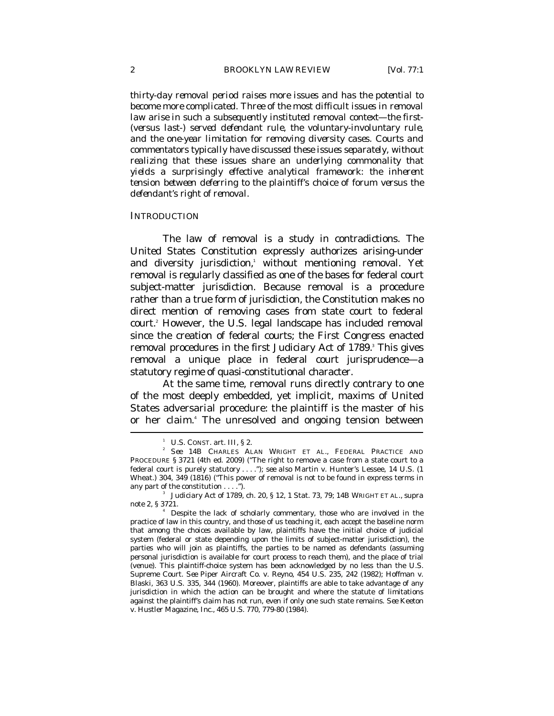*thirty-day removal period raises more issues and has the potential to become more complicated. Three of the most difficult issues in removal law arise in such a subsequently instituted removal context—the first- (versus last-) served defendant rule, the voluntary-involuntary rule, and the one-year limitation for removing diversity cases. Courts and commentators typically have discussed these issues separately, without realizing that these issues share an underlying commonality that yields a surprisingly effective analytical framework: the inherent tension between deferring to the plaintiff's choice of forum versus the defendant's right of removal.* 

#### **INTRODUCTION**

The law of removal is a study in contradictions. The United States Constitution expressly authorizes arising-under and diversity jurisdiction, without mentioning removal. Yet removal is regularly classified as one of the bases for federal court subject-matter jurisdiction. Because removal is a procedure rather than a true form of jurisdiction, the Constitution makes no direct mention of removing cases from state court to federal court.2 However, the U.S. legal landscape has included removal since the creation of federal courts; the First Congress enacted removal procedures in the first Judiciary Act of 1789.<sup>3</sup> This gives removal a unique place in federal court jurisprudence—a statutory regime of quasi-constitutional character.

At the same time, removal runs directly contrary to one of the most deeply embedded, yet implicit, maxims of United States adversarial procedure: the plaintiff is the master of his or her claim.<sup>4</sup> The unresolved and ongoing tension between

<sup>1</sup> U.S. CONST. art. III, § 2.

*See* 14B CHARLES ALAN WRIGHT ET AL., FEDERAL PRACTICE AND PROCEDURE § 3721 (4th ed. 2009) ("The right to remove a case from a state court to a federal court is purely statutory . . . ."); *see also* Martin v. Hunter's Lessee, 14 U.S. (1 Wheat.) 304, 349 (1816) ("This power of removal is not to be found in express terms in any part of the constitution . . . .").

Judiciary Act of 1789, ch. 20, § 12, 1 Stat. 73, 79; 14B WRIGHT ET AL., *supra*  note 2, § 3721. 4

Despite the lack of scholarly commentary, those who are involved in the practice of law in this country, and those of us teaching it, each accept the baseline norm that among the choices available by law, plaintiffs have the initial choice of judicial system (federal or state depending upon the limits of subject-matter jurisdiction), the parties who will join as plaintiffs, the parties to be named as defendants (assuming personal jurisdiction is available for court process to reach them), and the place of trial (venue). This plaintiff-choice system has been acknowledged by no less than the U.S. Supreme Court. *See* Piper Aircraft Co. v. Reyno, 454 U.S. 235, 242 (1982); Hoffman v. Blaski, 363 U.S. 335, 344 (1960). Moreover, plaintiffs are able to take advantage of any jurisdiction in which the action can be brought and where the statute of limitations against the plaintiff's claim has not run, even if only one such state remains. *See* Keeton v. Hustler Magazine, Inc., 465 U.S. 770, 779-80 (1984).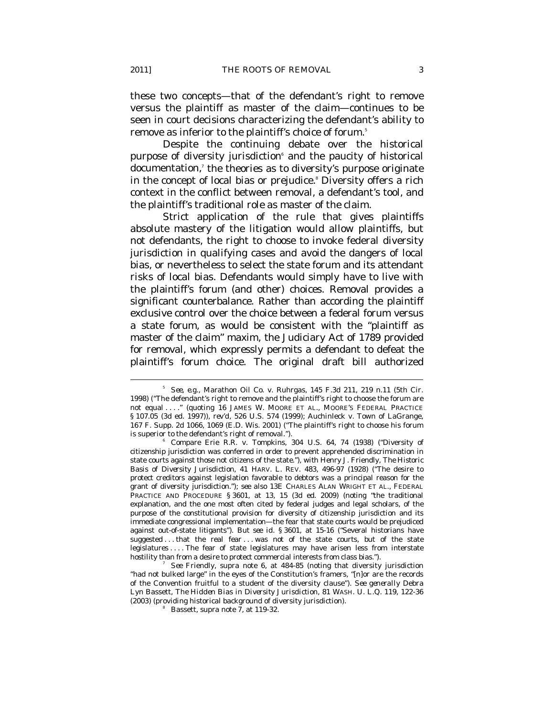these two concepts—that of the defendant's right to remove versus the plaintiff as master of the claim—continues to be seen in court decisions characterizing the defendant's ability to remove as inferior to the plaintiff's choice of forum.<sup>5</sup>

Despite the continuing debate over the historical purpose of diversity jurisdiction<sup>®</sup> and the paucity of historical documentation,<sup>7</sup> the theories as to diversity's purpose originate in the concept of local bias or prejudice.<sup>8</sup> Diversity offers a rich context in the conflict between removal, a defendant's tool, and the plaintiff's traditional role as master of the claim.

Strict application of the rule that gives plaintiffs absolute mastery of the litigation would allow plaintiffs, but not defendants, the right to choose to invoke federal diversity jurisdiction in qualifying cases and avoid the dangers of local bias, or nevertheless to select the state forum and its attendant risks of local bias. Defendants would simply have to live with the plaintiff's forum (and other) choices. Removal provides a significant counterbalance. Rather than according the plaintiff exclusive control over the choice between a federal forum versus a state forum, as would be consistent with the "plaintiff as master of the claim" maxim, the Judiciary Act of 1789 provided for removal, which expressly permits a defendant to defeat the plaintiff's forum choice. The original draft bill authorized

 $5$  *See, e.g.*, Marathon Oil Co. v. Ruhrgas, 145 F.3d 211, 219 n.11 (5th Cir. 1998) ("The defendant's right to remove and the plaintiff's right to choose the forum are not equal . . . ." (quoting 16 JAMES W. MOORE ET AL., MOORE'S FEDERAL PRACTICE § 107.05 (3d ed. 1997)), *rev'd*, 526 U.S. 574 (1999); Auchinleck v. Town of LaGrange, 167 F. Supp. 2d 1066, 1069 (E.D. Wis. 2001) ("The plaintiff's right to choose his forum is superior to the defendant's right of removal.").

*Compare* Erie R.R. v. Tompkins, 304 U.S. 64, 74 (1938) ("Diversity of citizenship jurisdiction was conferred in order to prevent apprehended discrimination in state courts against those not citizens of the state."), *with* Henry J. Friendly, *The Historic Basis of Diversity Jurisdiction*, 41 HARV. L. REV. 483, 496-97 (1928) ("The desire to protect creditors against legislation favorable to debtors was a principal reason for the grant of diversity jurisdiction."); *see also* 13E CHARLES ALAN WRIGHT ET AL., FEDERAL PRACTICE AND PROCEDURE § 3601, at 13, 15 (3d ed. 2009) (noting "the traditional explanation, and the one most often cited by federal judges and legal scholars, of the purpose of the constitutional provision for diversity of citizenship jurisdiction and its immediate congressional implementation—the fear that state courts would be prejudiced against out-of-state litigants"). *But see id.* § 3601, at 15-16 ("Several historians have suggested . . . that the real fear . . . was not of the state courts, but of the state legislatures . . . . The fear of state legislatures may have arisen less from interstate hostility than from a desire to protect commercial interests from class bias.").

*See* Friendly, *supra* note 6, at 484-85 (noting that diversity jurisdiction "had not bulked large" in the eyes of the Constitution's framers, "[n]or are the records of the Convention fruitful to a student of the diversity clause"). *See generally* Debra Lyn Bassett, *The Hidden Bias in Diversity Jurisdiction*, 81 WASH. U. L.Q. 119, 122-36 (2003) (providing historical background of diversity jurisdiction). 8

Bassett, *supra* note 7, at 119-32.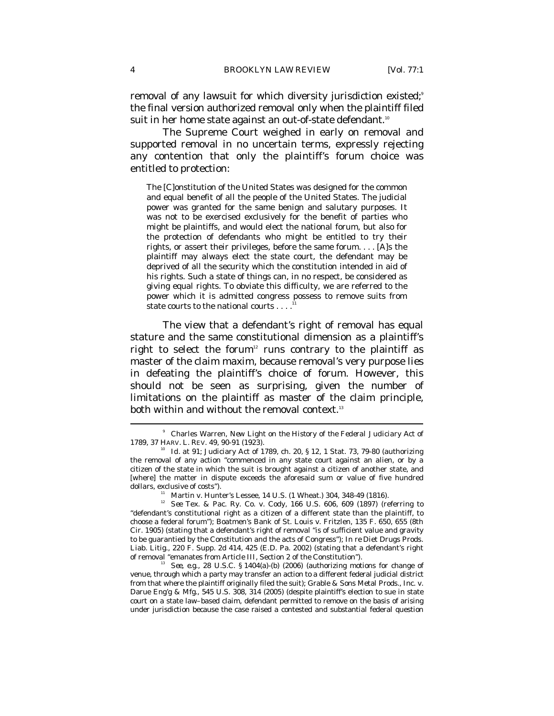removal of any lawsuit for which diversity jurisdiction existed;<sup>9</sup> the final version authorized removal only when the plaintiff filed suit in her home state against an out-of-state defendant. $^{\scriptscriptstyle{10}}$ 

The Supreme Court weighed in early on removal and supported removal in no uncertain terms, expressly rejecting any contention that only the plaintiff's forum choice was entitled to protection:

The [C]onstitution of the United States was designed for the common and equal benefit of all the people of the United States. The judicial power was granted for the same benign and salutary purposes. It was not to be exercised exclusively for the benefit of parties who might be plaintiffs, and would elect the national forum, but also for the protection of defendants who might be entitled to try their rights, or assert their privileges, before the same forum. . . . [A]s the plaintiff may always elect the state court, the defendant may be deprived of all the security which the constitution intended in aid of his rights. Such a state of things can, in no respect, be considered as giving equal rights. To obviate this difficulty, we are referred to the power which it is admitted congress possess to remove suits from state courts to the national courts . . . .

The view that a defendant's right of removal has equal stature and the same constitutional dimension as a plaintiff's right to select the forum<sup>12</sup> runs contrary to the plaintiff as master of the claim maxim, because removal's very purpose lies in defeating the plaintiff's choice of forum. However, this should not be seen as surprising, given the number of limitations on the plaintiff as master of the claim principle, both within and without the removal context. $^{\text{\tiny{13}}}$ 

<sup>&</sup>lt;sup>9</sup> Charles Warren, *New Light on the History of the Federal Judiciary Act of 1789*, 37 HARV. L. REV. 49, 90-91 (1923).<br><sup>10</sup> *Id.* at 91; Judiciary Act of 1789, ch. 20, § 12, 1 Stat. 73, 79-80 (authorizing

the removal of any action "commenced in any state court against an alien, or by a citizen of the state in which the suit is brought against a citizen of another state, and [where] the matter in dispute exceeds the aforesaid sum or value of five hundred dollars, exclusive of costs").<br>
<sup>11</sup> Martin v. Hunter's Lessee, 14 U.S. (1 Wheat.) 304, 348-49 (1816).

<sup>12</sup> *See* Tex. & Pac. Ry. Co. v. Cody, 166 U.S. 606, 609 (1897) (referring to "defendant's constitutional right as a citizen of a different state than the plaintiff, to choose a federal forum"); Boatmen's Bank of St. Louis v. Fritzlen, 135 F. 650, 655 (8th Cir. 1905) (stating that a defendant's right of removal "is of sufficient value and gravity to be guarantied by the Constitution and the acts of Congress"); *In re* Diet Drugs Prods. Liab. Litig., 220 F. Supp. 2d 414, 425 (E.D. Pa. 2002) (stating that a defendant's right of removal "emanates from Article III, Section 2 of the Constitution").

<sup>&</sup>lt;sup>13</sup> See, e.g., 28 U.S.C. § 1404(a)-(b) (2006) (authorizing motions for change of venue, through which a party may transfer an action to a different federal judicial district from that where the plaintiff originally filed the suit); Grable & Sons Metal Prods., Inc. v. Darue Eng'g & Mfg., 545 U.S. 308, 314 (2005) (despite plaintiff's election to sue in state court on a state law–based claim, defendant permitted to remove on the basis of arising under jurisdiction because the case raised a contested and substantial federal question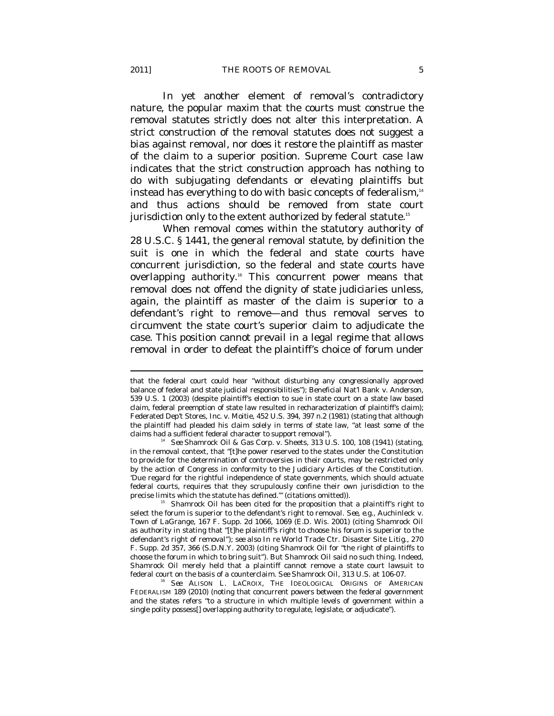In yet another element of removal's contradictory nature, the popular maxim that the courts must construe the removal statutes strictly does not alter this interpretation. A strict construction of the removal statutes does not suggest a bias against removal, nor does it restore the plaintiff as master of the claim to a superior position. Supreme Court case law indicates that the strict construction approach has nothing to do with subjugating defendants or elevating plaintiffs but instead has everything to do with basic concepts of federalism, $14$ and thus actions should be removed from state court jurisdiction only to the extent authorized by federal statute.15

When removal comes within the statutory authority of 28 U.S.C. § 1441, the general removal statute, by definition the suit is one in which the federal and state courts have concurrent jurisdiction, so the federal and state courts have overlapping authority.16 This concurrent power means that removal does not offend the dignity of state judiciaries unless, again, the plaintiff as master of the claim is superior to a defendant's right to remove—and thus removal serves to circumvent the state court's superior claim to adjudicate the case. This position cannot prevail in a legal regime that allows removal in order to defeat the plaintiff's choice of forum under

that the federal court could hear "without disturbing any congressionally approved balance of federal and state judicial responsibilities"); Beneficial Nat'l Bank v. Anderson, 539 U.S. 1 (2003) (despite plaintiff's election to sue in state court on a state law based claim, federal preemption of state law resulted in recharacterization of plaintiff's claim); Federated Dep't Stores, Inc. v. Moitie, 452 U.S. 394, 397 n.2 (1981) (stating that although the plaintiff had pleaded his claim solely in terms of state law, "at least some of the claims had a sufficient federal character to support removal"). 14 *See* Shamrock Oil & Gas Corp. v. Sheets, 313 U.S. 100, 108 (1941) (stating,

in the removal context, that "[t]he power reserved to the states under the Constitution to provide for the determination of controversies in their courts, may be restricted only by the action of Congress in conformity to the Judiciary Articles of the Constitution. 'Due regard for the rightful independence of state governments, which should actuate federal courts, requires that they scrupulously confine their own jurisdiction to the

<sup>&</sup>lt;sup>15</sup> Shamrock Oil has been cited for the proposition that a plaintiff's right to select the forum is superior to the defendant's right to removal. *See, e.g*., Auchinleck v. Town of LaGrange, 167 F. Supp. 2d 1066, 1069 (E.D. Wis. 2001) (citing *Shamrock Oil* as authority in stating that "[t]he plaintiff's right to choose his forum is superior to the defendant's right of removal"); *see also In re* World Trade Ctr. Disaster Site Litig., 270 F. Supp. 2d 357, 366 (S.D.N.Y. 2003) (citing *Shamrock Oil* for "the right of plaintiffs to choose the forum in which to bring suit"). But *Shamrock Oil* said no such thing. Indeed, *Shamrock Oil* merely held that a plaintiff cannot remove a state court lawsuit to federal court on the basis of a counterclaim. *See Shamrock Oil*, 313 U.S. at 106-07. 16 *See* ALISON L. LACROIX, THE IDEOLOGICAL ORIGINS OF AMERICAN

FEDERALISM 189 (2010) (noting that concurrent powers between the federal government and the states refers "to a structure in which multiple levels of government within a single polity possess[] overlapping authority to regulate, legislate, or adjudicate").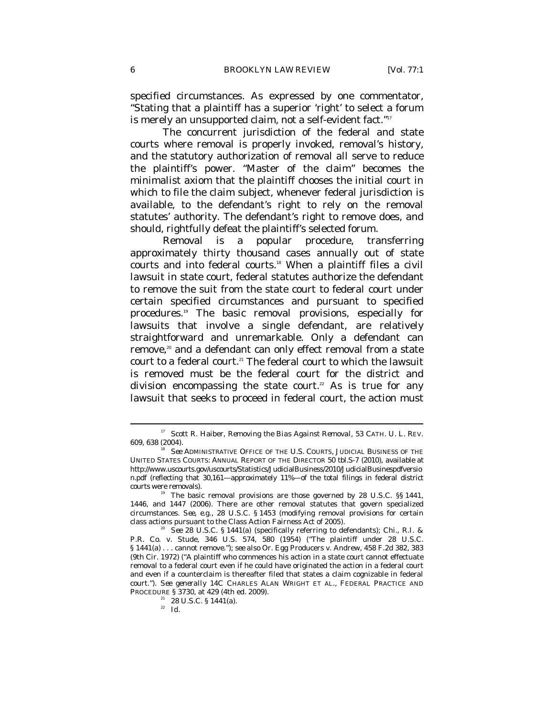specified circumstances. As expressed by one commentator, "Stating that a plaintiff has a superior 'right' to select a forum is merely an unsupported claim, not a self-evident fact." $^{\scriptscriptstyle 17}$ 

The concurrent jurisdiction of the federal and state courts where removal is properly invoked, removal's history, and the statutory authorization of removal all serve to reduce the plaintiff's power. "Master of the claim" becomes the minimalist axiom that the plaintiff chooses the initial court in which to file the claim subject, whenever federal jurisdiction is available, to the defendant's right to rely on the removal statutes' authority. The defendant's right to remove does, and should, rightfully defeat the plaintiff's selected forum.

Removal is a popular procedure, transferring approximately thirty thousand cases annually out of state courts and into federal courts.<sup>18</sup> When a plaintiff files a civil lawsuit in state court, federal statutes authorize the defendant to remove the suit from the state court to federal court under certain specified circumstances and pursuant to specified procedures.19 The basic removal provisions, especially for lawsuits that involve a single defendant, are relatively straightforward and unremarkable. Only a defendant can remove,<sup>20</sup> and a defendant can only effect removal from a state court to a federal court.<sup>21</sup> The federal court to which the lawsuit is removed must be the federal court for the district and division encompassing the state court.<sup>22</sup> As is true for any lawsuit that seeks to proceed in federal court, the action must

<sup>&</sup>lt;sup>17</sup> Scott R. Haiber, *Removing the Bias Against Removal*, 53 CATH. U. L. REV. 609, 638 (2004). 18 *See* ADMINISTRATIVE OFFICE OF THE U.S. COURTS, JUDICIAL BUSINESS OF THE

UNITED STATES COURTS: ANNUAL REPORT OF THE DIRECTOR 50 tbl.S-7 (2010), *available at* http://www.uscourts.gov/uscourts/Statistics/JudicialBusiness/2010/JudicialBusinespdfversio n.pdf (reflecting that 30,161—approximately 11%—of the total filings in federal district courts were removals). 19 The basic removal provisions are those governed by 28 U.S.C. §§ 1441,

<sup>1446,</sup> and 1447 (2006). There are other removal statutes that govern specialized circumstances. *See, e.g.*, 28 U.S.C. § 1453 (modifying removal provisions for certain class actions pursuant to the Class Action Fairness Act of 2005).

*See* 28 U.S.C. § 1441(a) (specifically referring to defendants); Chi., R.I. & P.R. Co. v. Stude, 346 U.S. 574, 580 (1954) ("The plaintiff under 28 U.S.C. § 1441(a) . . . cannot remove."); *see also* Or. Egg Producers v. Andrew, 458 F.2d 382, 383 (9th Cir. 1972) ("A plaintiff who commences his action in a state court cannot effectuate removal to a federal court even if he could have originated the action in a federal court and even if a counterclaim is thereafter filed that states a claim cognizable in federal court."). *See generally* 14C CHARLES ALAN WRIGHT ET AL., FEDERAL PRACTICE AND PROCEDURE § 3730, at 429 (4th ed. 2009).<br><sup>21</sup> 28 U.S.C. § 1441(a).

<sup>22</sup> *Id.*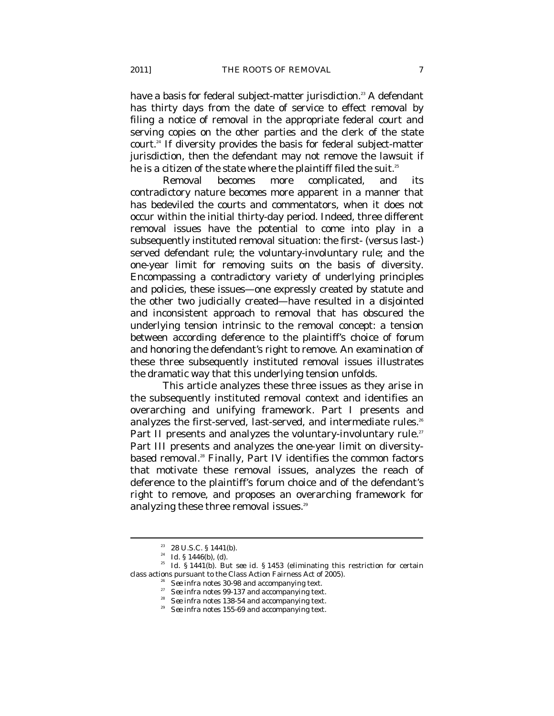have a basis for federal subject-matter jurisdiction.<sup>23</sup> A defendant has thirty days from the date of service to effect removal by filing a notice of removal in the appropriate federal court and serving copies on the other parties and the clerk of the state court.24 If diversity provides the basis for federal subject-matter jurisdiction, then the defendant may not remove the lawsuit if he is a citizen of the state where the plaintiff filed the suit. $^{25}$ 

Removal becomes more complicated, and its contradictory nature becomes more apparent in a manner that has bedeviled the courts and commentators, when it does not occur within the initial thirty-day period. Indeed, three different removal issues have the potential to come into play in a subsequently instituted removal situation: the first- (versus last-) served defendant rule; the voluntary-involuntary rule; and the one-year limit for removing suits on the basis of diversity. Encompassing a contradictory variety of underlying principles and policies, these issues—one expressly created by statute and the other two judicially created—have resulted in a disjointed and inconsistent approach to removal that has obscured the underlying tension intrinsic to the removal concept: a tension between according deference to the plaintiff's choice of forum and honoring the defendant's right to remove. An examination of these three subsequently instituted removal issues illustrates the dramatic way that this underlying tension unfolds.

This article analyzes these three issues as they arise in the subsequently instituted removal context and identifies an overarching and unifying framework. Part I presents and analyzes the first-served, last-served, and intermediate rules.<sup>26</sup> Part II presents and analyzes the voluntary-involuntary rule.<sup>27</sup> Part III presents and analyzes the one-year limit on diversitybased removal.<sup>28</sup> Finally, Part IV identifies the common factors that motivate these removal issues, analyzes the reach of deference to the plaintiff's forum choice and of the defendant's right to remove, and proposes an overarching framework for analyzing these three removal issues.<sup>29</sup>

<sup>&</sup>lt;sup>23</sup> 28 U.S.C. § 1441(b).<br><sup>24</sup> *Id.* § 1446(b), (d).

<sup>&</sup>lt;sup>25</sup> *Id.* § 1441(b). *But see id.* § 1453 (eliminating this restriction for certain % class actions pursuant to the Class Action Fairness Act of 2005).<br>
<sup>26</sup> See infra notes 30-98 and accompanying text.<br>
<sup>27</sup> See infra notes 99-137 and accompanying text.<br>
<sup>28</sup> See infra notes 138-54 and accompanying text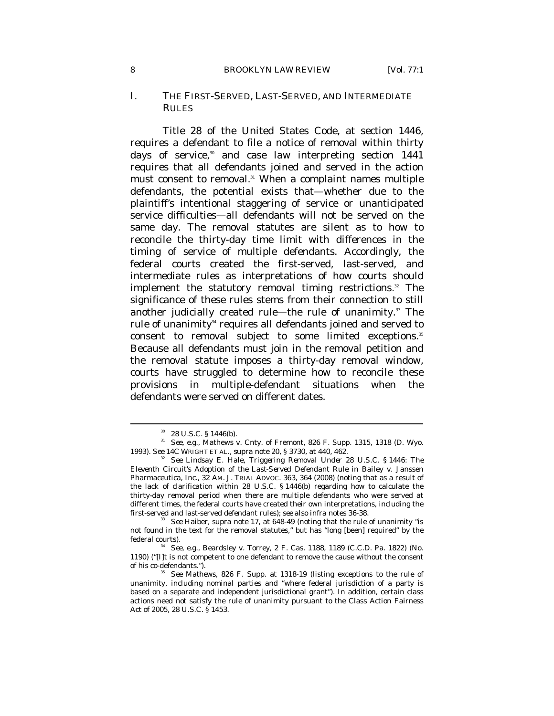#### 8 *BROOKLYN LAW REVIEW* [Vol. 77:1

#### I. THE FIRST-SERVED, LAST-SERVED, AND INTERMEDIATE **RULES**

Title 28 of the United States Code, at section 1446, requires a defendant to file a notice of removal within thirty days of service, $30$  and case law interpreting section 1441 requires that all defendants joined and served in the action must consent to removal.<sup>31</sup> When a complaint names multiple defendants, the potential exists that—whether due to the plaintiff's intentional staggering of service or unanticipated service difficulties—all defendants will not be served on the same day. The removal statutes are silent as to how to reconcile the thirty-day time limit with differences in the timing of service of multiple defendants. Accordingly, the federal courts created the first-served, last-served, and intermediate rules as interpretations of how courts should implement the statutory removal timing restrictions.<sup>32</sup> The significance of these rules stems from their connection to still another judicially created rule—the rule of unanimity.<sup>33</sup> The rule of unanimity<sup>34</sup> requires all defendants joined and served to consent to removal subject to some limited exceptions.<sup>35</sup> Because all defendants must join in the removal petition and the removal statute imposes a thirty-day removal window, courts have struggled to determine how to reconcile these provisions in multiple-defendant situations when the defendants were served on different dates.

<sup>30 28</sup> U.S.C. § 1446(b).

<sup>&</sup>lt;sup>31</sup> See, e.g., Mathews v. Cnty. of Fremont, 826 F. Supp. 1315, 1318 (D. Wyo. 1993). See 14C WRIGHT ET AL., *supra* note 20, § 3730, at 440, 462.

See Lindsay E. Hale, *Triggering Removal Under 28 U.S.C.* § 1446: The *Eleventh Circuit's Adoption of the Last-Served Defendant Rule in* Bailey v. Janssen Pharmaceutica, Inc., 32 AM. J. TRIAL ADVOC. 363, 364 (2008) (noting that as a result of the lack of clarification within 28 U.S.C.  $\S$  1446(b) regarding how to calculate the thirty-day removal period when there are multiple defendants who were served at different times, the federal courts have created their own interpretations, including the

first-served and last-served defendant rules); *see also infra* notes 36-38.<br><sup>33</sup> *See* Haiber, *supra* note 17, at 648-49 (noting that the rule of unanimity "is not found in the text for the removal statutes," but has "long [been] required" by the federal courts). 34 *See, e.g.*, Beardsley v. Torrey, 2 F. Cas. 1188, 1189 (C.C.D. Pa. 1822) (No.

<sup>1190) (&</sup>quot;[I]t is not competent to one defendant to remove the cause without the consent of his co-defendants."). 35 *See Mathews*, 826 F. Supp. at 1318-19 (listing exceptions to the rule of

unanimity, including nominal parties and "where federal jurisdiction of a party is based on a separate and independent jurisdictional grant"). In addition, certain class actions need not satisfy the rule of unanimity pursuant to the Class Action Fairness Act of 2005, 28 U.S.C. § 1453.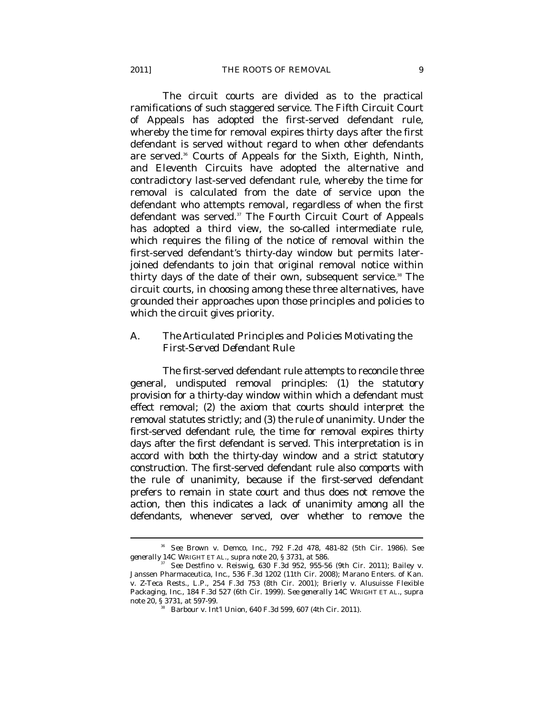The circuit courts are divided as to the practical ramifications of such staggered service. The Fifth Circuit Court of Appeals has adopted the first-served defendant rule, whereby the time for removal expires thirty days after the first defendant is served without regard to when other defendants are served.<sup>36</sup> Courts of Appeals for the Sixth, Eighth, Ninth, and Eleventh Circuits have adopted the alternative and contradictory last-served defendant rule, whereby the time for removal is calculated from the date of service upon the defendant who attempts removal, regardless of when the first defendant was served.<sup>37</sup> The Fourth Circuit Court of Appeals has adopted a third view, the so-called intermediate rule, which requires the filing of the notice of removal within the first-served defendant's thirty-day window but permits laterjoined defendants to join that original removal notice within thirty days of the date of their own, subsequent service.<sup>38</sup> The circuit courts, in choosing among these three alternatives, have grounded their approaches upon those principles and policies to which the circuit gives priority.

### *A. The Articulated Principles and Policies Motivating the First-Served Defendant Rule*

The first-served defendant rule attempts to reconcile three general, undisputed removal principles: (1) the statutory provision for a thirty-day window within which a defendant must effect removal; (2) the axiom that courts should interpret the removal statutes strictly; and (3) the rule of unanimity. Under the first-served defendant rule, the time for removal expires thirty days after the first defendant is served. This interpretation is in accord with both the thirty-day window and a strict statutory construction. The first-served defendant rule also comports with the rule of unanimity, because if the first-served defendant prefers to remain in state court and thus does not remove the action, then this indicates a lack of unanimity among all the defendants, whenever served, over whether to remove the

<sup>36</sup> *See* Brown v. Demco, Inc., 792 F.2d 478, 481-82 (5th Cir. 1986). *See* 

<sup>&</sup>lt;sup>37</sup> *See* Destfino v. Reiswig, 630 F.3d 952, 955-56 (9th Cir. 2011); Bailey v. Janssen Pharmaceutica, Inc., 536 F.3d 1202 (11th Cir. 2008); Marano Enters. of Kan. v. Z-Teca Rests., L.P., 254 F.3d 753 (8th Cir. 2001); Brierly v. Alusuisse Flexible Packaging, Inc., 184 F.3d 527 (6th Cir. 1999). *See generally* 14C WRIGHT ET AL., *supra* note 20, § 3731, at 597-99.<br><sup>38</sup> Barbour v. Int'l Union, 640 F.3d 599, 607 (4th Cir. 2011).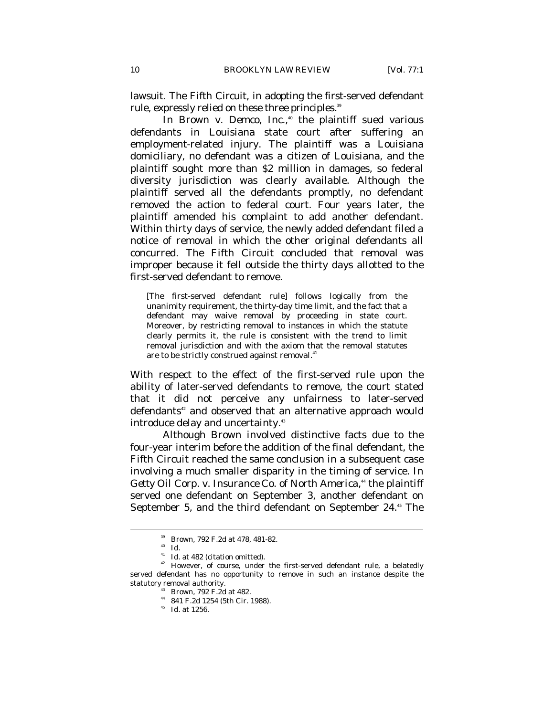lawsuit. The Fifth Circuit, in adopting the first-served defendant rule, expressly relied on these three principles.<sup>39</sup>

In *Brown v. Demco, Inc.*,<sup>40</sup> the plaintiff sued various defendants in Louisiana state court after suffering an employment-related injury. The plaintiff was a Louisiana domiciliary, no defendant was a citizen of Louisiana, and the plaintiff sought more than \$2 million in damages, so federal diversity jurisdiction was clearly available. Although the plaintiff served all the defendants promptly, no defendant removed the action to federal court. Four years later, the plaintiff amended his complaint to add another defendant. Within thirty days of service, the newly added defendant filed a notice of removal in which the other original defendants all concurred. The Fifth Circuit concluded that removal was improper because it fell outside the thirty days allotted to the first-served defendant to remove.

[The first-served defendant rule] follows logically from the unanimity requirement, the thirty-day time limit, and the fact that a defendant may waive removal by proceeding in state court. Moreover, by restricting removal to instances in which the statute clearly permits it, the rule is consistent with the trend to limit removal jurisdiction and with the axiom that the removal statutes are to be strictly construed against removal.<sup>41</sup>

With respect to the effect of the first-served rule upon the ability of later-served defendants to remove, the court stated that it did not perceive any unfairness to later-served defendants<sup>42</sup> and observed that an alternative approach would introduce delay and uncertainty.<sup>43</sup>

Although *Brown* involved distinctive facts due to the four-year interim before the addition of the final defendant, the Fifth Circuit reached the same conclusion in a subsequent case involving a much smaller disparity in the timing of service. In Getty Oil Corp. v. Insurance Co. of North America,<sup>44</sup> the plaintiff served one defendant on September 3, another defendant on September 5, and the third defendant on September 24.<sup>45</sup> The

<sup>39</sup> *Brown*, 792 F.2d at 478, 481-82. 40 *Id.*

<sup>&</sup>lt;sup>42</sup> However, of course, under the first-served defendant rule, a belatedly served defendant has no opportunity to remove in such an instance despite the statutory removal authority. 43 *Brown*, 792 F.2d at 482. 44 841 F.2d 1254 (5th Cir. 1988).

<sup>45</sup> *Id.* at 1256.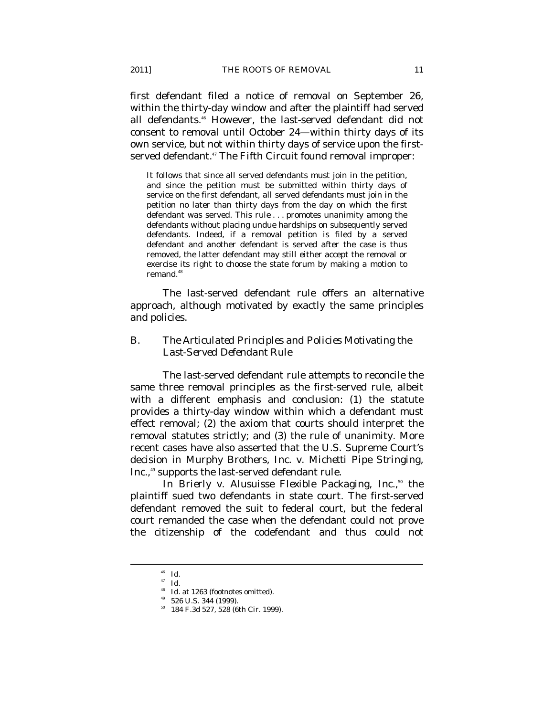first defendant filed a notice of removal on September 26, within the thirty-day window and after the plaintiff had served all defendants.46 However, the last-served defendant did not consent to removal until October 24—within thirty days of its own service, but not within thirty days of service upon the firstserved defendant.<sup>47</sup> The Fifth Circuit found removal improper:

It follows that since all served defendants must join in the petition, and since the petition must be submitted within thirty days of service on the first defendant, all served defendants must join in the petition no later than thirty days from the day on which the first defendant was served. This rule . . . promotes unanimity among the defendants without placing undue hardships on subsequently served defendants. Indeed, if a removal petition is filed by a served defendant and another defendant is served after the case is thus removed, the latter defendant may still either accept the removal or exercise its right to choose the state forum by making a motion to remand.<sup>48</sup>

The last-served defendant rule offers an alternative approach, although motivated by exactly the same principles and policies.

# *B. The Articulated Principles and Policies Motivating the Last-Served Defendant Rule*

The last-served defendant rule attempts to reconcile the same three removal principles as the first-served rule, albeit with a different emphasis and conclusion: (1) the statute provides a thirty-day window within which a defendant must effect removal; (2) the axiom that courts should interpret the removal statutes strictly; and (3) the rule of unanimity. More recent cases have also asserted that the U.S. Supreme Court's decision in *Murphy Brothers, Inc. v. Michetti Pipe Stringing, Inc.*,<sup>49</sup> supports the last-served defendant rule.

In *Brierly v. Alusuisse Flexible Packaging, Inc.*,<sup>50</sup> the plaintiff sued two defendants in state court. The first-served defendant removed the suit to federal court, but the federal court remanded the case when the defendant could not prove the citizenship of the codefendant and thus could not

<sup>46</sup> *Id.*

<sup>47</sup> *Id.*

<sup>&</sup>lt;sup>48</sup> *Id.* at 1263 (footnotes omitted).<br><sup>49</sup> 526 U.S. 344 (1999).

 $^{49}$  526 U.S. 344 (1999).<br>  $^{50}$  184 F.3d 527, 528 (6th Cir. 1999).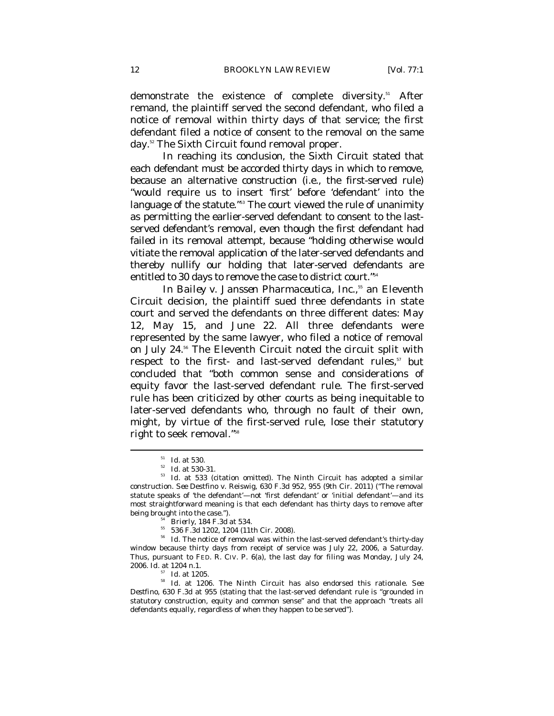demonstrate the existence of complete diversity.<sup>51</sup> After remand, the plaintiff served the second defendant, who filed a notice of removal within thirty days of that service; the first defendant filed a notice of consent to the removal on the same day.<sup>52</sup> The Sixth Circuit found removal proper.

In reaching its conclusion, the Sixth Circuit stated that each defendant must be accorded thirty days in which to remove, because an alternative construction (i.e., the first-served rule) "would require us to insert 'first' before 'defendant' into the language of the statute."<sup>33</sup> The court viewed the rule of unanimity as permitting the earlier-served defendant to consent to the lastserved defendant's removal, even though the first defendant had failed in its removal attempt, because "holding otherwise would vitiate the removal application of the later-served defendants and thereby nullify our holding that later-served defendants are entitled to 30 days to remove the case to district court."54

In *Bailey v. Janssen Pharmaceutica, Inc.*,<sup>55</sup> an Eleventh Circuit decision, the plaintiff sued three defendants in state court and served the defendants on three different dates: May 12, May 15, and June 22. All three defendants were represented by the same lawyer, who filed a notice of removal on July 24.56 The Eleventh Circuit noted the circuit split with respect to the first- and last-served defendant rules,<sup>57</sup> but concluded that "both common sense and considerations of equity favor the last-served defendant rule. The first-served rule has been criticized by other courts as being inequitable to later-served defendants who, through no fault of their own, might, by virtue of the first-served rule, lose their statutory right to seek removal."58

 $\begin{array}{ll} \text{51} & Id \text{ at } 530. \ \text{52} & Id \text{ at } 530\text{-}31. \ \text{533} & Id \text{ at } 533 \text{ (citation omitted).} \text{The Ninth Circuit has adopted a similar.} \end{array}$ construction. *See* Destfino v. Reiswig, 630 F.3d 952, 955 (9th Cir. 2011) ("The removal statute speaks of 'the defendant'—not 'first defendant' or 'initial defendant'—and its most straightforward meaning is that each defendant has thirty days to remove after being brought into the case.").<br><sup>54</sup> *Brierly*, 184 F.3d at 534.<br><sup>55</sup> 536 F.3d 1202, 1204 (11th Cir. 2008).

<sup>&</sup>lt;sup>56</sup> Id. The notice of removal was within the last-served defendant's thirty-day window because thirty days from receipt of service was July 22, 2006, a Saturday. Thus, pursuant to FED. R. CIV. P. 6(a), the last day for filing was Monday, July 24, 2006. *Id.* at 1204 n.1.

<sup>57</sup> *Id.* at 1205. 58 *Id.* at 1206. The Ninth Circuit has also endorsed this rationale. *See Destfino*, 630 F.3d at 955 (stating that the last-served defendant rule is "grounded in statutory construction, equity and common sense" and that the approach "treats all defendants equally, regardless of when they happen to be served").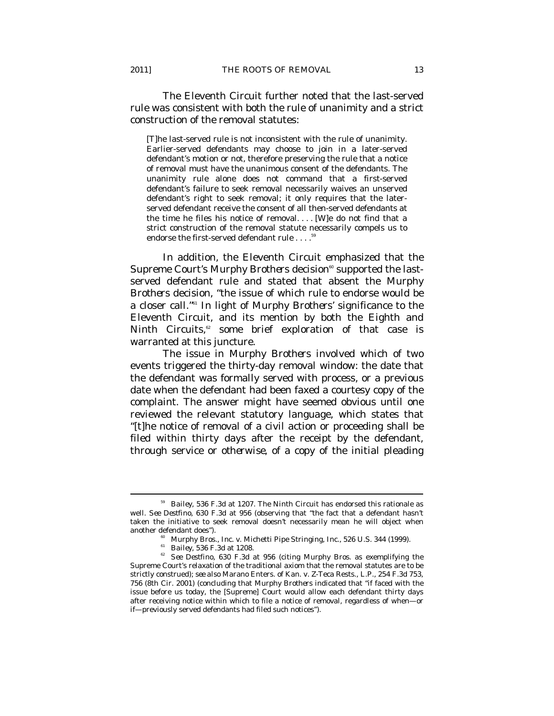The Eleventh Circuit further noted that the last-served rule was consistent with both the rule of unanimity and a strict construction of the removal statutes:

[T]he last-served rule is not inconsistent with the rule of unanimity. Earlier-served defendants may choose to join in a later-served defendant's motion or not, therefore preserving the rule that a notice of removal must have the unanimous consent of the defendants. The unanimity rule alone does not command that a first-served defendant's failure to seek removal necessarily waives an unserved defendant's right to seek removal; it only requires that the laterserved defendant receive the consent of all then-served defendants at the time he files his notice of removal.... [W]e do not find that a strict construction of the removal statute necessarily compels us to endorse the first-served defendant rule . . . .<sup>5</sup>

In addition, the Eleventh Circuit emphasized that the Supreme Court's *Murphy Brothers* decision<sup>60</sup> supported the lastserved defendant rule and stated that absent the *Murphy Brothers* decision, "the issue of which rule to endorse would be a closer call."61 In light of *Murphy Brothers*' significance to the Eleventh Circuit, and its mention by both the Eighth and Ninth Circuits,<sup>62</sup> some brief exploration of that case is warranted at this juncture.

The issue in *Murphy Brothers* involved which of two events triggered the thirty-day removal window: the date that the defendant was formally served with process, or a previous date when the defendant had been faxed a courtesy copy of the complaint. The answer might have seemed obvious until one reviewed the relevant statutory language, which states that "[t]he notice of removal of a civil action or proceeding shall be filed within thirty days after the receipt by the defendant, through service *or otherwise*, of a copy of the initial pleading

<sup>59</sup> *Bailey*, 536 F.3d at 1207. The Ninth Circuit has endorsed this rationale as well. *See Destfino*, 630 F.3d at 956 (observing that "the fact that a defendant hasn't taken the initiative to seek removal doesn't necessarily mean he will object when another defendant does"). 60 Murphy Bros., Inc. v. Michetti Pipe Stringing, Inc., 526 U.S. 344 (1999).  $Bailey$ , 536 F.3d at 1208.

<sup>&</sup>lt;sup>62</sup> *See Destfino*, 630 F.3d at 956 (citing *Murphy Bros.* as exemplifying the Supreme Court's relaxation of the traditional axiom that the removal statutes are to be strictly construed); *see also* Marano Enters. of Kan. v. Z-Teca Rests., L.P., 254 F.3d 753, 756 (8th Cir. 2001) (concluding that *Murphy Brothers* indicated that "if faced with the issue before us today, the [Supreme] Court would allow each defendant thirty days after receiving notice within which to file a notice of removal, regardless of when—or if—previously served defendants had filed such notices").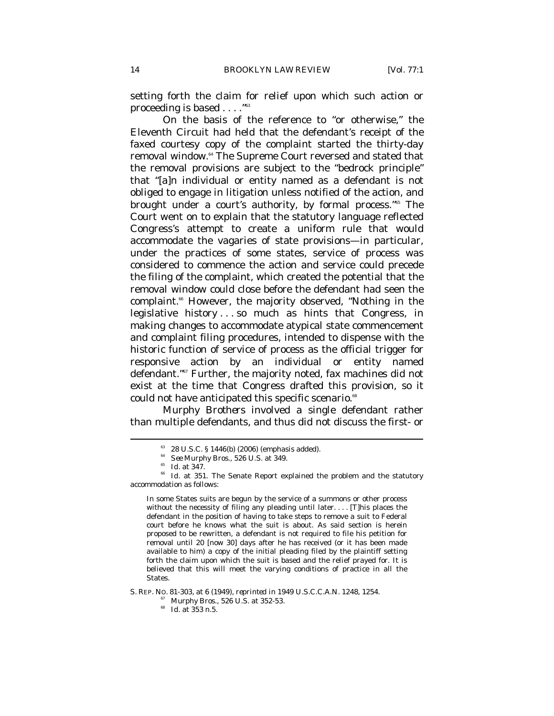setting forth the claim for relief upon which such action or proceeding is based . . . ."63

On the basis of the reference to "or otherwise," the Eleventh Circuit had held that the defendant's receipt of the faxed courtesy copy of the complaint started the thirty-day removal window.64 The Supreme Court reversed and stated that the removal provisions are subject to the "bedrock principle" that "[a]n individual or entity named as a defendant is not obliged to engage in litigation unless notified of the action, and brought under a court's authority, by formal process."<sup>65</sup> The Court went on to explain that the statutory language reflected Congress's attempt to create a uniform rule that would accommodate the vagaries of state provisions—in particular, under the practices of some states, service of process was considered to commence the action and service could precede the filing of the complaint, which created the potential that the removal window could close before the defendant had seen the complaint.<sup>66</sup> However, the majority observed, "Nothing in the legislative history . . . so much as hints that Congress, in making changes to accommodate atypical state commencement and complaint filing procedures, intended to dispense with the historic function of service of process as the official trigger for responsive action by an individual or entity named defendant."67 Further, the majority noted, fax machines did not exist at the time that Congress drafted this provision, so it could not have anticipated this specific scenario.<sup>68</sup>

*Murphy Brothers* involved a single defendant rather than multiple defendants, and thus did not discuss the first- or

 $\overline{a}$ 

In some States suits are begun by the service of a summons or other process without the necessity of filing any pleading until later. . . . [T]his places the defendant in the position of having to take steps to remove a suit to Federal court before he knows what the suit is about. As said section is herein proposed to be rewritten, a defendant is not required to file his petition for removal until 20 [now 30] days after he has received (or it has been made available to him) a copy of the initial pleading filed by the plaintiff setting forth the claim upon which the suit is based and the relief prayed for. It is believed that this will meet the varying conditions of practice in all the States.

S. REP. No. 81-303, at 6 (1949), *reprinted in* 1949 U.S.C.C.A.N. 1248, 1254.<br><sup>67</sup> *Murphy Bros.*, 526 U.S. at 352-53.<br>*<sup>68</sup> Id.* at 353 n.5.

 $^{63}$  28 U.S.C. § 1446(b) (2006) (emphasis added).<br> $^{64}$  See Murphy Bros., 526 U.S. at 349.

<sup>&</sup>lt;sup>65</sup> *Id.* at 347.<br><sup>66</sup> *Id.* at 351. The Senate Report explained the problem and the statutory accommodation as follows: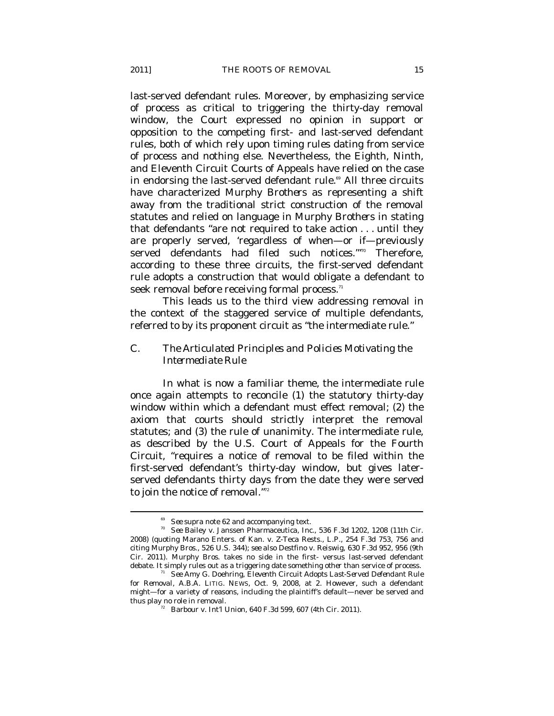last-served defendant rules. Moreover, by emphasizing service of process as critical to triggering the thirty-day removal window, the Court expressed no opinion in support or opposition to the competing first- and last-served defendant rules, both of which rely upon timing rules dating from service of process and nothing else. Nevertheless, the Eighth, Ninth, and Eleventh Circuit Courts of Appeals have relied on the case in endorsing the last-served defendant rule.<sup>69</sup> All three circuits have characterized *Murphy Brothers* as representing a shift away from the traditional strict construction of the removal statutes and relied on language in *Murphy Brothers* in stating that defendants "are not required to take action . . . until they are properly served, 'regardless of when—or if—previously served defendants had filed such notices."70 Therefore, according to these three circuits, the first-served defendant rule adopts a construction that would obligate a defendant to seek removal before receiving formal process. $^\mathrm{n}$ 

This leads us to the third view addressing removal in the context of the staggered service of multiple defendants, referred to by its proponent circuit as "the intermediate rule."

# *C. The Articulated Principles and Policies Motivating the Intermediate Rule*

In what is now a familiar theme, the intermediate rule once again attempts to reconcile (1) the statutory thirty-day window within which a defendant must effect removal; (2) the axiom that courts should strictly interpret the removal statutes; and (3) the rule of unanimity. The intermediate rule, as described by the U.S. Court of Appeals for the Fourth Circuit, "requires a notice of removal to be filed within the first-served defendant's thirty-day window, but gives laterserved defendants thirty days from the date they were served to join the notice of removal."72

<sup>69</sup> *See supra* note 62 and accompanying text. 70 *See* Bailey v. Janssen Pharmaceutica, Inc., 536 F.3d 1202, 1208 (11th Cir. 2008) (quoting Marano Enters. of Kan. v. Z-Teca Rests., L.P., 254 F.3d 753, 756 and citing *Murphy Bros*., 526 U.S. 344); *see also* Destfino v. Reiswig, 630 F.3d 952, 956 (9th Cir. 2011). *Murphy Bros*. takes no side in the first-versus last-served defendant debate. It simply rules out as a triggering date something *other* than service of process.

<sup>&</sup>lt;sup>11</sup> See Amy G. Doehring, *Eleventh Circuit Adopts Last-Served Defendant Rule for Removal*, A.B.A. LITIG. NEWS, Oct. 9, 2008, at 2. However, such a defendant might—for a variety of reasons, including the plaintiff's default—never be served and thus play no role in removal.<br><sup>72</sup> Barbour v. Int'l Union, 640 F.3d 599, 607 (4th Cir. 2011).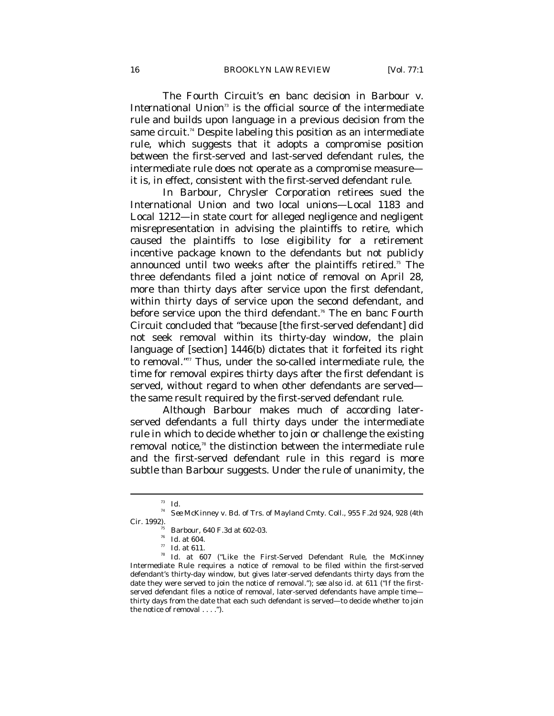The Fourth Circuit's en banc decision in *Barbour v. International Union*<sup>3</sup> is the official source of the intermediate rule and builds upon language in a previous decision from the same circuit.<sup>74</sup> Despite labeling this position as an intermediate rule, which suggests that it adopts a compromise position between the first-served and last-served defendant rules, the intermediate rule does not operate as a compromise measure it is, in effect, consistent with the first-served defendant rule.

In *Barbour*, Chrysler Corporation retirees sued the International Union and two local unions—Local 1183 and Local 1212—in state court for alleged negligence and negligent misrepresentation in advising the plaintiffs to retire, which caused the plaintiffs to lose eligibility for a retirement incentive package known to the defendants but not publicly announced until two weeks after the plaintiffs retired.<sup>75</sup> The three defendants filed a joint notice of removal on April 28, more than thirty days after service upon the first defendant, within thirty days of service upon the second defendant, and before service upon the third defendant.<sup>76</sup> The en banc Fourth Circuit concluded that "because [the first-served defendant] did not seek removal within its thirty-day window, the plain language of [section] 1446(b) dictates that it forfeited its right to removal." $\pi$  Thus, under the so-called intermediate rule, the time for removal expires thirty days after the first defendant is served, without regard to when other defendants are served the same result required by the first-served defendant rule.

Although *Barbour* makes much of according laterserved defendants a full thirty days under the intermediate rule in which to decide whether to join or challenge the existing removal notice,<sup>78</sup> the distinction between the intermediate rule and the first-served defendant rule in this regard is more subtle than *Barbour* suggests. Under the rule of unanimity, the

<sup>73</sup> *Id.* 74 *See* McKinney v. Bd. of Trs. of Mayland Cmty. Coll., 955 F.2d 924, 928 (4th

Cir. 1992). 75 *Barbour*, 640 F.3d at 602-03. 76 *Id.* at 604. 77 *Id.* at 611. 78 *Id.* at 607 ("Like the First-Served Defendant Rule, the *McKinney* Intermediate Rule requires a notice of removal to be filed within the first-served defendant's thirty-day window, but gives later-served defendants thirty days from the date they were served to join the notice of removal."); *see also id.* at 611 ("If the firstserved defendant files a notice of removal, later-served defendants have ample time thirty days from the date that each such defendant is served—to decide whether to join the notice of removal . . . .").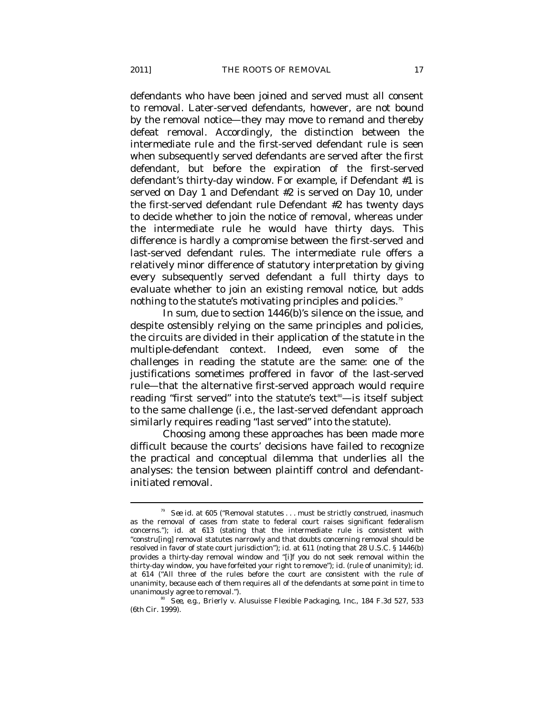defendants who have been joined and served must all consent to removal. Later-served defendants, however, are not bound by the removal notice—they may move to remand and thereby defeat removal. Accordingly, the distinction between the intermediate rule and the first-served defendant rule is seen when subsequently served defendants are served after the first defendant, but before the expiration of the first-served defendant's thirty-day window. For example, if Defendant #1 is served on Day 1 and Defendant #2 is served on Day 10, under the first-served defendant rule Defendant #2 has twenty days to decide whether to join the notice of removal, whereas under the intermediate rule he would have thirty days. This difference is hardly a compromise between the first-served and last-served defendant rules. The intermediate rule offers a relatively minor difference of statutory interpretation by giving every subsequently served defendant a full thirty days to evaluate whether to join an existing removal notice, but adds nothing to the statute's motivating principles and policies. $\mathbb{I}^{\mathfrak{g}}$ 

In sum, due to section 1446(b)'s silence on the issue, and despite ostensibly relying on the same principles and policies, the circuits are divided in their application of the statute in the multiple-defendant context. Indeed, even some of the challenges in reading the statute are the same: one of the justifications sometimes proffered in favor of the last-served rule—that the alternative first-served approach would require reading "first served" into the statute's text<sup>®</sup>—is itself subject to the same challenge (i.e., the last-served defendant approach similarly requires reading "last served" into the statute).

Choosing among these approaches has been made more difficult because the courts' decisions have failed to recognize the practical and conceptual dilemma that underlies all the analyses: the tension between plaintiff control and defendantinitiated removal.

<sup>79</sup> *See id.* at 605 ("Removal statutes . . . must be strictly construed, inasmuch as the removal of cases from state to federal court raises significant federalism concerns."); *id.* at 613 (stating that the intermediate rule is consistent with "constru[ing] removal statutes narrowly and that doubts concerning removal should be resolved in favor of state court jurisdiction"); *id.* at 611 (noting that 28 U.S.C. § 1446(b) provides a thirty-day removal window and "[i]f you do not seek removal within the thirty-day window, you have forfeited your right to remove"); *id.* (rule of unanimity); *id.* at 614 ("All three of the rules before the court are consistent with the rule of unanimity, because each of them requires all of the defendants at some point in time to

unanimously agree to removal."). 80 *See, e.g.*, Brierly v. Alusuisse Flexible Packaging, Inc., 184 F.3d 527, 533 (6th Cir. 1999).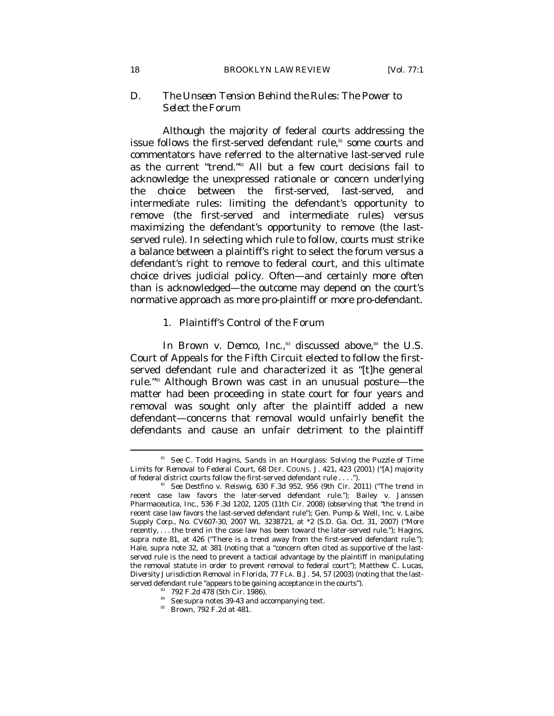#### 18 *BROOKLYN LAW REVIEW* [Vol. 77:1

#### *D. The Unseen Tension Behind the Rules: The Power to Select the Forum*

Although the majority of federal courts addressing the issue follows the first-served defendant rule,<sup>81</sup> some courts and commentators have referred to the alternative last-served rule as the current "trend."82 All but a few court decisions fail to acknowledge the unexpressed rationale or concern underlying the choice between the first-served, last-served, and intermediate rules: limiting the defendant's opportunity to remove (the first-served and intermediate rules) versus maximizing the defendant's opportunity to remove (the lastserved rule). In selecting which rule to follow, courts must strike a balance between a plaintiff's right to select the forum versus a defendant's right to remove to federal court, and this ultimate choice drives judicial policy. Often—and certainly more often than is acknowledged—the outcome may depend on the court's normative approach as more pro-plaintiff or more pro-defendant.

### 1. Plaintiff's Control of the Forum

In *Brown v. Demco, Inc.*,<sup>83</sup> discussed above,<sup>84</sup> the U.S. Court of Appeals for the Fifth Circuit elected to follow the firstserved defendant rule and characterized it as "[t]he general rule."85 Although *Brown* was cast in an unusual posture—the matter had been proceeding in state court for four years and removal was sought only after the plaintiff added a new defendant—concerns that removal would unfairly benefit the defendants and cause an unfair detriment to the plaintiff

<sup>81</sup> *See* C. Todd Hagins, *Sands in an Hourglass: Solving the Puzzle of Time Limits for Removal to Federal Court*, 68 DEF. COUNS. J. 421, 423 (2001) ("[A] majority of federal district courts follow the first-served defendant rule . . . .").

Gee Destfino v. Reiswig, 630 F.3d 952, 956 (9th Cir. 2011) ("The trend in recent case law favors the later-served defendant rule."); Bailey v. Janssen Pharmaceutica, Inc., 536 F.3d 1202, 1205 (11th Cir. 2008) (observing that "the trend in recent case law favors the last-served defendant rule"); Gen. Pump & Well, Inc. v. Laibe Supply Corp., No. CV607-30, 2007 WL 3238721, at \*2 (S.D. Ga. Oct. 31, 2007) ("More recently, . . . the trend in the case law has been toward the later-served rule."); Hagins, *supra* note 81, at 426 ("There is a trend away from the first-served defendant rule."); Hale, *supra* note 32, at 381 (noting that a "concern often cited as supportive of the lastserved rule is the need to prevent a tactical advantage by the plaintiff in manipulating the removal statute in order to prevent removal to federal court"); Matthew C. Lucas, *Diversity Jurisdiction Removal in Florida*, 77 FLA. B.J. 54, 57 (2003) (noting that the lastserved defendant rule "appears to be gaining acceptance in the courts").<br><sup>83</sup> 792 F.2d 478 (5th Cir. 1986).

<sup>84</sup> *See supra* notes 39-43 and accompanying text. 85 *Brown*, 792 F.2d at 481.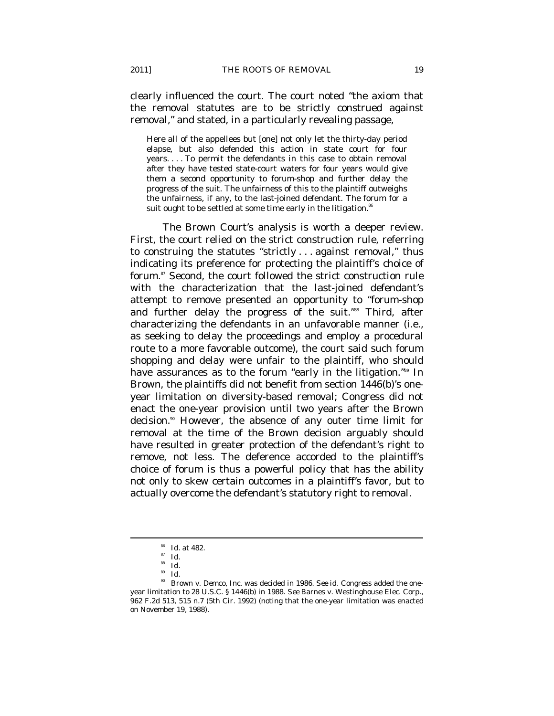clearly influenced the court. The court noted "the axiom that the removal statutes are to be strictly construed against removal," and stated, in a particularly revealing passage,

Here all of the appellees but [one] not only let the thirty-day period elapse, but also defended this action in state court for four years. . . . To permit the defendants in this case to obtain removal after they have tested state-court waters for four years would give them a second opportunity to forum-shop and further delay the progress of the suit. The unfairness of this to the plaintiff outweighs the unfairness, if any, to the last-joined defendant. The forum for a suit ought to be settled at some time early in the litigation.<sup>86</sup>

The *Brown* Court's analysis is worth a deeper review. First, the court relied on the strict construction rule, referring to construing the statutes "strictly . . . against removal," thus indicating its preference for protecting the plaintiff's choice of forum.<sup>87</sup> Second, the court followed the strict construction rule with the characterization that the last-joined defendant's attempt to remove presented an opportunity to "forum-shop and further delay the progress of the suit."<sup>88</sup> Third, after characterizing the defendants in an unfavorable manner (i.e., as seeking to delay the proceedings and employ a procedural route to a more favorable outcome), the court said such forum shopping and delay were unfair to the plaintiff, who should have assurances as to the forum "early in the litigation."<sup>89</sup> In *Brown*, the plaintiffs did not benefit from section 1446(b)'s oneyear limitation on diversity-based removal; Congress did not enact the one-year provision until two years after the *Brown* decision.<sup>90</sup> However, the absence of any outer time limit for removal at the time of the *Brown* decision arguably should have resulted in greater protection of the defendant's right to remove, not less. The deference accorded to the plaintiff's choice of forum is thus a powerful policy that has the ability not only to skew certain outcomes in a plaintiff's favor, but to actually overcome the defendant's statutory right to removal.

<sup>86</sup> *Id.* at 482. 87 *Id.* 

 $rac{88}{89}$  *Id.* 

 $rac{89}{90}$  *Id.* 

Brown v. Demco, Inc. was decided in 1986. See *id.* Congress added the oneyear limitation to 28 U.S.C. § 1446(b) in 1988. *See* Barnes v. Westinghouse Elec. Corp., 962 F.2d 513, 515 n.7 (5th Cir. 1992) (noting that the one-year limitation was enacted on November 19, 1988).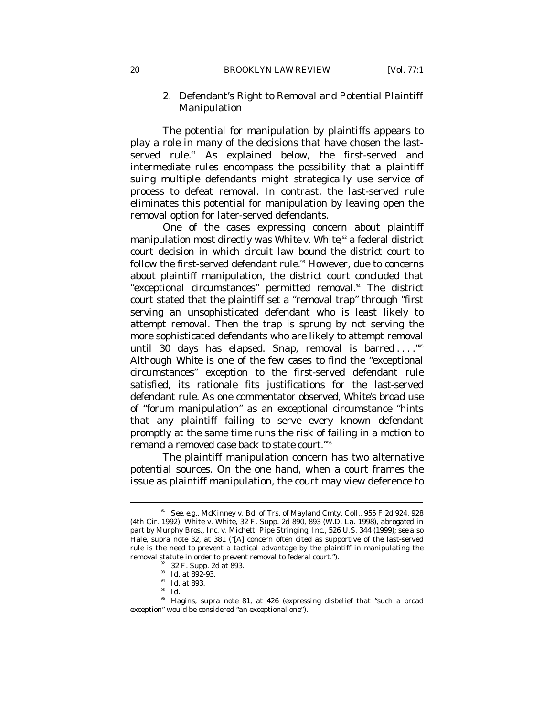#### 2. Defendant's Right to Removal and Potential Plaintiff Manipulation

The potential for manipulation by plaintiffs appears to play a role in many of the decisions that have chosen the lastserved rule.<sup>91</sup> As explained below, the first-served and intermediate rules encompass the possibility that a plaintiff suing multiple defendants might strategically use service of process to defeat removal. In contrast, the last-served rule eliminates this potential for manipulation by leaving open the removal option for later-served defendants.

One of the cases expressing concern about plaintiff manipulation most directly was *White v. White*, 92 a federal district court decision in which circuit law bound the district court to follow the first-served defendant rule.<sup>33</sup> However, due to concerns about plaintiff manipulation, the district court concluded that "exceptional circumstances" permitted removal.<sup>94</sup> The district court stated that the plaintiff set a "removal trap" through "first serving an unsophisticated defendant who is least likely to attempt removal. Then the trap is sprung by not serving the more sophisticated defendants who are likely to attempt removal until 30 days has elapsed. Snap, removal is barred ...."<sup>95</sup> Although *White* is one of the few cases to find the "exceptional circumstances" exception to the first-served defendant rule satisfied, its rationale fits justifications for the last-served defendant rule. As one commentator observed, *White*'s broad use of "forum manipulation" as an exceptional circumstance "hints that any plaintiff failing to serve every known defendant promptly at the same time runs the risk of failing in a motion to remand a removed case back to state court."96

The plaintiff manipulation concern has two alternative potential sources. On the one hand, when a court frames the issue as plaintiff manipulation, the court may view deference to

<sup>91</sup> *See, e.g.*, McKinney v. Bd. of Trs. of Mayland Cmty. Coll., 955 F.2d 924, 928 (4th Cir. 1992); White v. White, 32 F. Supp. 2d 890, 893 (W.D. La. 1998), *abrogated in part by* Murphy Bros., Inc. v. Michetti Pipe Stringing, Inc., 526 U.S. 344 (1999); *see also* Hale, *supra* note 32, at 381 ("[A] concern often cited as supportive of the last-served rule is the need to prevent a tactical advantage by the plaintiff in manipulating the removal statute in order to prevent removal to federal court.").<br><sup>92</sup> 32 F. Supp. 2d at 893.

<sup>93</sup> *Id.* at 892-93. 94 *Id.* at 893. 95 *Id.*

<sup>&</sup>lt;sup>96</sup> Hagins, *supra* note 81, at 426 (expressing disbelief that "such a broad exception" would be considered "an exceptional one").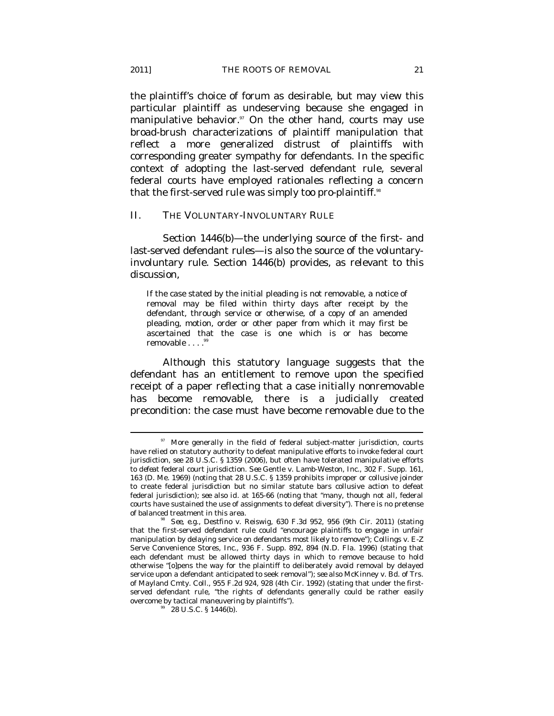the plaintiff's choice of forum as desirable, but may view this particular plaintiff as undeserving because she engaged in manipulative behavior.<sup>97</sup> On the other hand, courts may use broad-brush characterizations of plaintiff manipulation that reflect a more generalized distrust of plaintiffs with corresponding greater sympathy for defendants. In the specific context of adopting the last-served defendant rule, several federal courts have employed rationales reflecting a concern that the first-served rule was simply too pro-plaintiff.<sup>38</sup>

#### II. THE VOLUNTARY-INVOLUNTARY RULE

Section 1446(b)—the underlying source of the first- and last-served defendant rules—is also the source of the voluntaryinvoluntary rule. Section 1446(b) provides, as relevant to this discussion,

If the case stated by the initial pleading is not removable, a notice of removal may be filed within thirty days after receipt by the defendant, through service or otherwise, of a copy of an amended pleading, motion, order or other paper from which it may first be ascertained that the case is one which is or has become removable . . . .<sup>99</sup>

Although this statutory language suggests that the defendant has an entitlement to remove upon the specified receipt of a paper reflecting that a case initially nonremovable has become removable, there is a judicially created precondition: the case must have become removable due to the

<sup>&</sup>lt;sup>97</sup> More generally in the field of federal subject-matter jurisdiction, courts have relied on statutory authority to defeat manipulative efforts to *invoke* federal court jurisdiction, *see* 28 U.S.C. § 1359 (2006), but often have tolerated manipulative efforts to *defeat* federal court jurisdiction. *See* Gentle v. Lamb-Weston, Inc., 302 F. Supp. 161, 163 (D. Me. 1969) (noting that 28 U.S.C. § 1359 prohibits improper or collusive joinder to create federal jurisdiction but no similar statute bars collusive action to defeat federal jurisdiction); *see also id.* at 165-66 (noting that "many, though not all, federal courts have sustained the use of assignments to defeat diversity"). There is no pretense of balanced treatment in this area.<br><sup>98</sup> *See, e.g.*, Destfino v. Reiswig, 630 F.3d 952, 956 (9th Cir. 2011) (stating

that the first-served defendant rule could "encourage plaintiffs to engage in unfair manipulation by delaying service on defendants most likely to remove"); Collings v. E-Z Serve Convenience Stores, Inc., 936 F. Supp. 892, 894 (N.D. Fla. 1996) (stating that each defendant must be allowed thirty days in which to remove because to hold otherwise "[o]pens the way for the plaintiff to deliberately avoid removal by delayed service upon a defendant anticipated to seek removal"); *see also* McKinney v. Bd. of Trs. of Mayland Cmty. Coll., 955 F.2d 924, 928 (4th Cir. 1992) (stating that under the firstserved defendant rule, "the rights of defendants generally could be rather easily overcome by tactical maneuvering by plaintiffs"). 28 U.S.C. § 1446(b).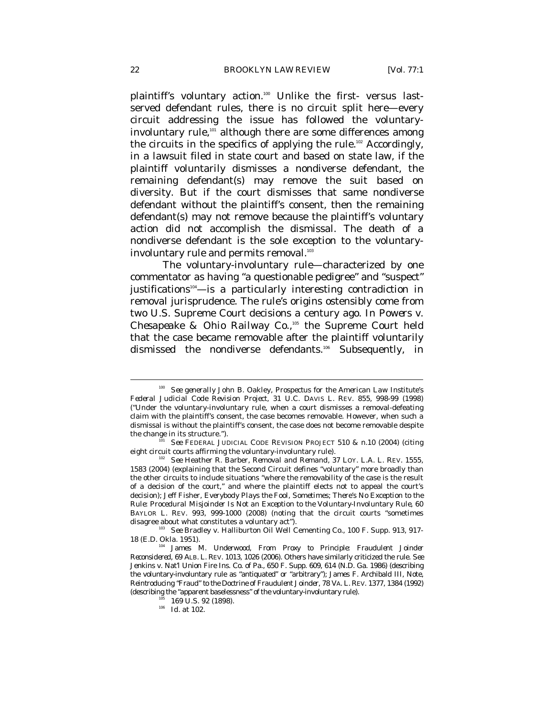plaintiff's voluntary action.<sup>100</sup> Unlike the first- versus lastserved defendant rules, there is no circuit split here—every circuit addressing the issue has followed the voluntaryinvoluntary rule,<sup>101</sup> although there are some differences among the circuits in the specifics of applying the rule.<sup>102</sup> Accordingly, in a lawsuit filed in state court and based on state law, if the plaintiff voluntarily dismisses a nondiverse defendant, the remaining defendant(s) may remove the suit based on diversity. But if the court dismisses that same nondiverse defendant without the plaintiff's consent, then the remaining defendant(s) may not remove because the plaintiff's voluntary action did not accomplish the dismissal. The death of a nondiverse defendant is the sole exception to the voluntaryinvoluntary rule and permits removal.<sup>103</sup>

The voluntary-involuntary rule—characterized by one commentator as having "a questionable pedigree" and "suspect" justifications<sup>104</sup>—is a particularly interesting contradiction in removal jurisprudence. The rule's origins ostensibly come from two U.S. Supreme Court decisions a century ago. In *Powers v. Chesapeake & Ohio Railway Co*.,105 the Supreme Court held that the case became removable after the plaintiff voluntarily dismissed the nondiverse defendants.<sup>106</sup> Subsequently, in

<sup>100</sup> *See generally* John B. Oakley, *Prospectus for the American Law Institute's Federal Judicial Code Revision Project*, 31 U.C. DAVIS L. REV. 855, 998-99 (1998) ("Under the voluntary-involuntary rule, when a court dismisses a removal-defeating claim with the plaintiff's consent, the case becomes removable. However, when such a dismissal is without the plaintiff's consent, the case does not become removable despite

the change in its structure.").<br><sup>101</sup> *See* FEDERAL JUDICIAL CODE REVISION PROJECT 510 & n.10 (2004) (citing eight circuit courts affirming the voluntary-involuntary rule).

eight circuit courts affirming the voluntary-involuntary rule). 102 *See* Heather R. Barber, *Removal and Remand*, 37 LOY. L.A. L. REV. 1555, 1583 (2004) (explaining that the Second Circuit defines "voluntary" more broadly than the other circuits to include situations "where the removability of the case is the result of a decision of the court," and where the plaintiff elects not to appeal the court's decision); Jeff Fisher, *Everybody Plays the Fool, Sometimes; There's No Exception to the Rule: Procedural Misjoinder Is Not an Exception to the Voluntary-Involuntary Rule*, 60 BAYLOR L. REV. 993, 999-1000 (2008) (noting that the circuit courts "sometimes

<sup>&</sup>lt;sup>103</sup> See Bradley v. Halliburton Oil Well Cementing Co., 100 F. Supp. 913, 917-18 (E.D. Okla. 1951). 104 James M. Underwood, *From Proxy to Principle: Fraudulent Joinder* 

*Reconsidered*, 69 ALB. L. REV. 1013, 1026 (2006). Others have similarly criticized the rule. *See* Jenkins v. Nat'l Union Fire Ins. Co. of Pa., 650 F. Supp. 609, 614 (N.D. Ga. 1986) (describing the voluntary-involuntary rule as "antiquated" or "arbitrary"); James F. Archibald III, Note, *Reintroducing "Fraud" to the Doctrine of Fraudulent Joinder*, 78 VA. L. REV. 1377, 1384 (1992) % (describing the "apparent baselessness" of the voluntary-involuntary rule). 105 169 U.S. 92 (1898). *Id.* at 102.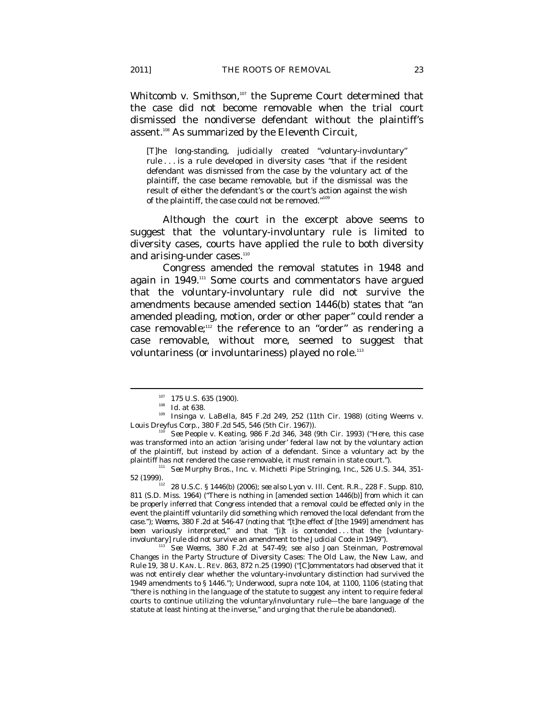*Whitcomb v. Smithson*,<sup>107</sup> the Supreme Court determined that the case did not become removable when the trial court dismissed the nondiverse defendant without the plaintiff's assent.<sup>108</sup> As summarized by the Eleventh Circuit,

[T]he long-standing, judicially created "voluntary-involuntary" rule . . . is a rule developed in diversity cases "that if the resident defendant was dismissed from the case by the voluntary act of the plaintiff, the case became removable, but if the dismissal was the result of either the defendant's or the court's action against the wish of the plaintiff, the case could not be removed." $10^{\circ}$ 

Although the court in the excerpt above seems to suggest that the voluntary-involuntary rule is limited to diversity cases, courts have applied the rule to both diversity and arising-under cases.<sup>110</sup>

Congress amended the removal statutes in 1948 and again in 1949.<sup>111</sup> Some courts and commentators have argued that the voluntary-involuntary rule did not survive the amendments because amended section 1446(b) states that "an amended pleading, motion, order or other paper" could render a case removable;<sup>112</sup> the reference to an "order" as rendering a case removable, without more, seemed to suggest that voluntariness (or involuntariness) played no role.<sup>113</sup>

<sup>1&</sup>lt;sup>07</sup> 175 U.S. 635 (1900).<br><sup>108</sup> *Id.* at 638.<br><sup>109</sup> Insinga v. LaBella, 845 F.2d 249, 252 (11th Cir. 1988) (citing Weems v. Louis Dreyfus Corp., 380 F.2d 545, 546 (5th Cir. 1967)). 110 *See* People v. Keating, 986 F.2d 346, 348 (9th Cir. 1993) ("Here, this case

was transformed into an action 'arising under' federal law not by the voluntary action of the plaintiff, but instead by action of a defendant. Since a voluntary act by the

plaintiff has not rendered the case removable, it must remain in state court.").<br><sup>111</sup> *See* Murphy Bros., Inc. v. Michetti Pipe Stringing, Inc., 526 U.S. 344, 351-<br>52 (1999).

<sup>52 (1999). 112</sup> 28 U.S.C. § 1446(b) (2006); *see also* Lyon v. Ill. Cent. R.R., 228 F. Supp. 810, 811 (S.D. Miss. 1964) ("There is nothing in [amended section 1446(b)] from which it can be properly inferred that Congress intended that a removal could be effected only in the event the plaintiff voluntarily did something which removed the local defendant from the case."); *Weems*, 380 F.2d at 546-47 (noting that "[t]he effect of [the 1949] amendment has been variously interpreted," and that "[i]t is contended . . . that the [voluntaryinvoluntary] rule did not survive an amendment to the Judicial Code in 1949"). 113 *See Weems*, 380 F.2d at 547-49; *see also* Joan Steinman, *Postremoval* 

*Changes in the Party Structure of Diversity Cases: The Old Law, the New Law, and Rule 19*, 38 U. KAN. L. REV. 863, 872 n.25 (1990) ("[C]ommentators had observed that it was not entirely clear whether the voluntary-involuntary distinction had survived the 1949 amendments to § 1446."); Underwood, *supra* note 104, at 1100, 1106 (stating that "there is nothing in the language of the statute to suggest any intent to require federal courts to continue utilizing the voluntary/involuntary rule—the bare language of the statute at least hinting at the inverse," and urging that the rule be abandoned).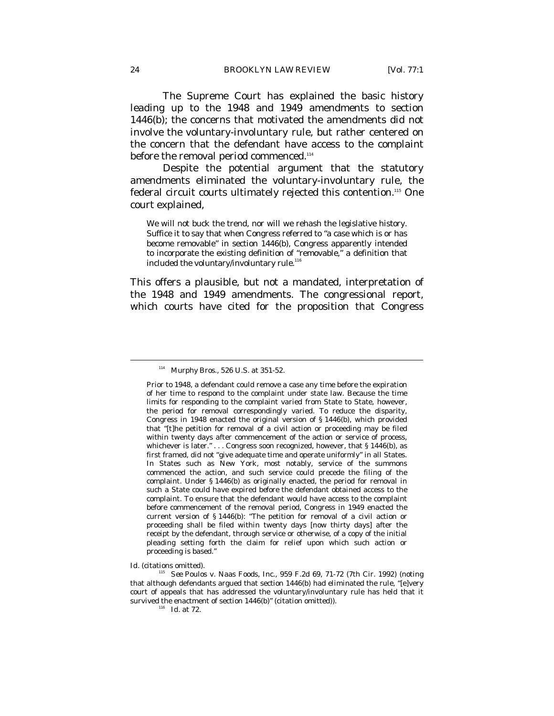The Supreme Court has explained the basic history leading up to the 1948 and 1949 amendments to section 1446(b); the concerns that motivated the amendments did not involve the voluntary-involuntary rule, but rather centered on the concern that the defendant have access to the complaint before the removal period commenced.<sup>114</sup>

Despite the potential argument that the statutory amendments eliminated the voluntary-involuntary rule, the federal circuit courts ultimately rejected this contention.115 One court explained,

We will not buck the trend, nor will we rehash the legislative history. Suffice it to say that when Congress referred to "a case which is or has become removable" in section 1446(b), Congress apparently intended to incorporate the existing definition of "removable," a definition that included the voluntary/involuntary rule.<sup>11</sup>

This offers a plausible, but not a mandated, interpretation of the 1948 and 1949 amendments. The congressional report, which courts have cited for the proposition that Congress

<sup>114</sup> *Murphy Bros*., 526 U.S. at 351-52.

Prior to 1948, a defendant could remove a case any time before the expiration of her time to respond to the complaint under state law. Because the time limits for responding to the complaint varied from State to State, however, the period for removal correspondingly varied. To reduce the disparity, Congress in 1948 enacted the original version of § 1446(b), which provided that "[t]he petition for removal of a civil action or proceeding may be filed within twenty days after commencement of the action or service of process, whichever is later." . . . Congress soon recognized, however, that § 1446(b), as first framed, did not "give adequate time and operate uniformly" in all States. In States such as New York, most notably, service of the summons commenced the action, and such service could precede the filing of the complaint. Under § 1446(b) as originally enacted, the period for removal in such a State could have expired *before* the defendant obtained access to the complaint. To ensure that the defendant would have access to the complaint before commencement of the removal period, Congress in 1949 enacted the current version of § 1446(b): "The petition for removal of a civil action or proceeding shall be filed within twenty days [now thirty days] after the receipt by the defendant, through service or otherwise, of a copy of the initial pleading setting forth the claim for relief upon which such action or proceeding is based."

*Id.* (citations omitted). <sup>115</sup> See Poulos v. Naas Foods, Inc., 959 F.2d 69, 71-72 (7th Cir. 1992) (noting that although defendants argued that section 1446(b) had eliminated the rule, "[e]very court of appeals that has addressed the voluntary/involuntary rule has held that it survived the enactment of section 1446(b)" (citation omitted)).  $Id$  at 72.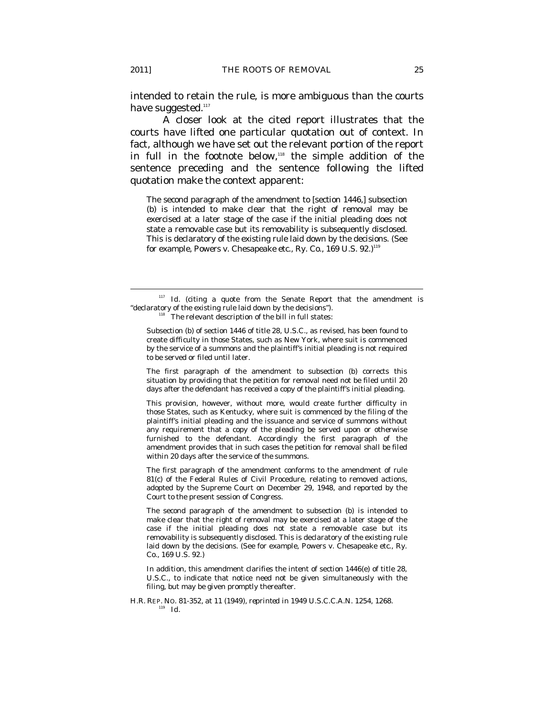intended to retain the rule, is more ambiguous than the courts have suggested.<sup>117</sup>

A closer look at the cited report illustrates that the courts have lifted one particular quotation out of context. In fact, although we have set out the relevant portion of the report in full in the footnote below,<sup>118</sup> the simple addition of the sentence preceding and the sentence following the lifted quotation make the context apparent:

The second paragraph of the amendment to [section 1446,] subsection (b) is intended to make clear that the right of removal may be exercised at a later stage of the case if the initial pleading does not state a removable case but its removability is subsequently disclosed. This is declaratory of the existing rule laid down by the decisions. (See for example, Powers v. Chesapeake etc., Ry. Co., 169 U.S. 92.)<sup>119</sup>

The first paragraph of the amendment to subsection (b) corrects this situation by providing that the petition for removal need not be filed until 20 days after the defendant has received a copy of the plaintiff's initial pleading.

This provision, however, without more, would create further difficulty in those States, such as Kentucky, where suit is commenced by the filing of the plaintiff's initial pleading and the issuance and service of summons without any requirement that a copy of the pleading be served upon or otherwise furnished to the defendant. Accordingly the first paragraph of the amendment provides that in such cases the petition for removal shall be filed within 20 days after the service of the summons.

The first paragraph of the amendment conforms to the amendment of rule 81(c) of the Federal Rules of Civil Procedure, relating to removed actions, adopted by the Supreme Court on December 29, 1948, and reported by the Court to the present session of Congress.

The second paragraph of the amendment to subsection (b) is intended to make clear that the right of removal may be exercised at a later stage of the case if the initial pleading does not state a removable case but its removability is subsequently disclosed. This is declaratory of the existing rule laid down by the decisions. (See for example, Powers v. Chesapeake etc., Ry. Co., 169 U.S. 92.)

In addition, this amendment clarifies the intent of section 1446(e) of title 28, U.S.C., to indicate that notice need not be given simultaneously with the filing, but may be given promptly thereafter.

H.R. REP. No. 81-352, at 11 (1949), *reprinted in* 1949 U.S.C.C.A.N. 1254, 1268.<br>
<sup>119</sup> *Id.* 

<sup>&</sup>lt;sup>117</sup> *Id.* (citing a quote from the Senate Report that the amendment is "declaratory of the existing rule laid down by the decisions").  $118$  The relevant description of the bill in full states:

Subsection (b) of section 1446 of title 28, U.S.C., as revised, has been found to create difficulty in those States, such as New York, where suit is commenced by the service of a summons and the plaintiff's initial pleading is not required to be served or filed until later.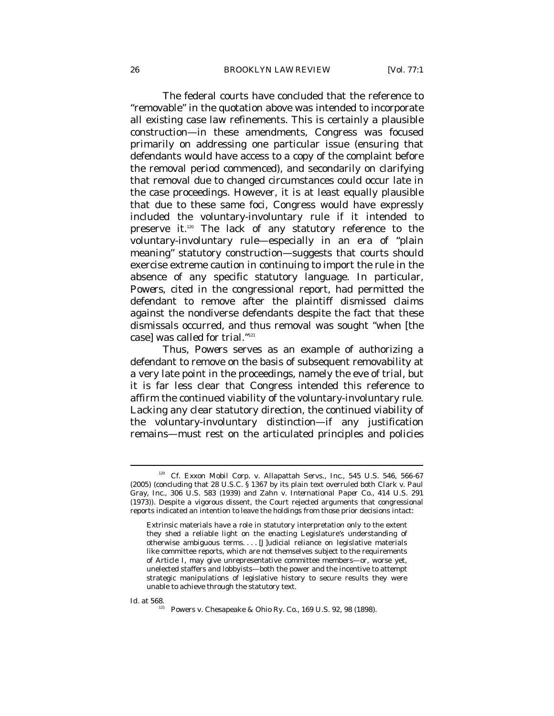The federal courts have concluded that the reference to "removable" in the quotation above was intended to incorporate all existing case law refinements. This is certainly a plausible construction—in these amendments, Congress was focused primarily on addressing one particular issue (ensuring that defendants would have access to a copy of the complaint before the removal period commenced), and secondarily on clarifying that removal due to changed circumstances could occur late in the case proceedings. However, it is at least equally plausible that due to these same foci, Congress would have expressly included the voluntary-involuntary rule if it intended to preserve it.<sup>120</sup> The lack of any statutory reference to the voluntary-involuntary rule—especially in an era of "plain meaning" statutory construction—suggests that courts should exercise extreme caution in continuing to import the rule in the absence of any specific statutory language. In particular, *Powers*, cited in the congressional report, had permitted the defendant to remove after the plaintiff dismissed claims against the nondiverse defendants despite the fact that these dismissals occurred, and thus removal was sought "when [the case] was called for trial."121

Thus, *Powers* serves as an example of authorizing a defendant to remove on the basis of subsequent removability at a very late point in the proceedings, namely the eve of trial, but it is far less clear that Congress intended this reference to affirm the continued viability of the voluntary-involuntary rule. Lacking any clear statutory direction, the continued viability of the voluntary-involuntary distinction—if any justification remains—must rest on the articulated principles and policies

<sup>&</sup>lt;sup>120</sup> *Cf.* Exxon Mobil Corp. v. Allapattah Servs., Inc., 545 U.S. 546, 566-67 (2005) (concluding that 28 U.S.C. § 1367 by its plain text overruled both *Clark v. Paul Gray, Inc*., 306 U.S. 583 (1939) and *Zahn v. International Paper Co*., 414 U.S. 291 (1973)). Despite a vigorous dissent, the Court rejected arguments that congressional reports indicated an intention to leave the holdings from those prior decisions intact:

Extrinsic materials have a role in statutory interpretation only to the extent they shed a reliable light on the enacting Legislature's understanding of otherwise ambiguous terms. . . . [J]udicial reliance on legislative materials like committee reports, which are not themselves subject to the requirements of Article I, may give unrepresentative committee members—or, worse yet, unelected staffers and lobbyists—both the power and the incentive to attempt strategic manipulations of legislative history to secure results they were unable to achieve through the statutory text.

*Id.* at 568. 121 Powers v. Chesapeake & Ohio Ry. Co., 169 U.S. 92, 98 (1898).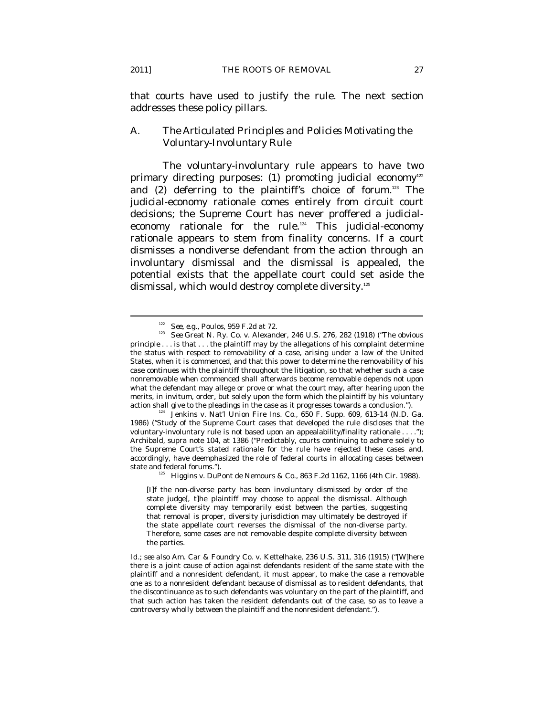that courts have used to justify the rule. The next section addresses these policy pillars.

### *A. The Articulated Principles and Policies Motivating the Voluntary-Involuntary Rule*

The voluntary-involuntary rule appears to have two primary directing purposes: (1) promoting judicial economy<sup>122</sup> and (2) deferring to the plaintiff's choice of forum.<sup>123</sup> The judicial-economy rationale comes entirely from circuit court decisions; the Supreme Court has never proffered a judicialeconomy rationale for the rule.124 This judicial-economy rationale appears to stem from finality concerns. If a court dismisses a nondiverse defendant from the action through an involuntary dismissal and the dismissal is appealed, the potential exists that the appellate court could set aside the dismissal, which would destroy complete diversity.<sup>125</sup>

<sup>122</sup> *See, e.g.*, *Poulos*, 959 F.2d at 72. 123 *See* Great N. Ry. Co. v. Alexander, 246 U.S. 276, 282 (1918) ("The obvious principle . . . is that . . . the plaintiff may by the allegations of his complaint determine the status with respect to removability of a case, arising under a law of the United States, when it is commenced, and that this power to determine the removability of his case continues with the plaintiff throughout the litigation, so that whether such a case nonremovable when commenced shall afterwards become removable depends not upon what the defendant may allege or prove or what the court may, after hearing upon the merits, in invitum, order, but solely upon the form which the plaintiff by his voluntary action shall give to the pleadings in the case as it progresses towards a conclusion."). 124 Jenkins v. Nat'l Union Fire Ins. Co., 650 F. Supp. 609, 613-14 (N.D. Ga.

<sup>1986) (&</sup>quot;Study of the Supreme Court cases that developed the rule discloses that the voluntary-involuntary rule is not based upon an appealability/finality rationale . . . ."); Archibald, *supra* note 104, at 1386 ("Predictably, courts continuing to adhere solely to the Supreme Court's stated rationale for the rule have rejected these cases and, accordingly, have deemphasized the role of federal courts in allocating cases between state and federal forums."). 125 Higgins v. DuPont de Nemours & Co., 863 F.2d 1162, 1166 (4th Cir. 1988).

<sup>[</sup>I]f the non-diverse party has been involuntary dismissed by order of the state judge[, t]he plaintiff may choose to appeal the dismissal. Although complete diversity may temporarily exist between the parties, suggesting that removal is proper, diversity jurisdiction may ultimately be destroyed if the state appellate court reverses the dismissal of the non-diverse party. Therefore, some cases are not removable despite complete diversity between the parties.

*Id.*; *see also* Am. Car & Foundry Co. v. Kettelhake, 236 U.S. 311, 316 (1915) ("[W]here there is a joint cause of action against defendants resident of the same state with the plaintiff and a nonresident defendant, it must appear, to make the case a removable one as to a nonresident defendant because of dismissal as to resident defendants, that the discontinuance as to such defendants was voluntary on the part of the plaintiff, and that such action has taken the resident defendants out of the case, so as to leave a controversy wholly between the plaintiff and the nonresident defendant.").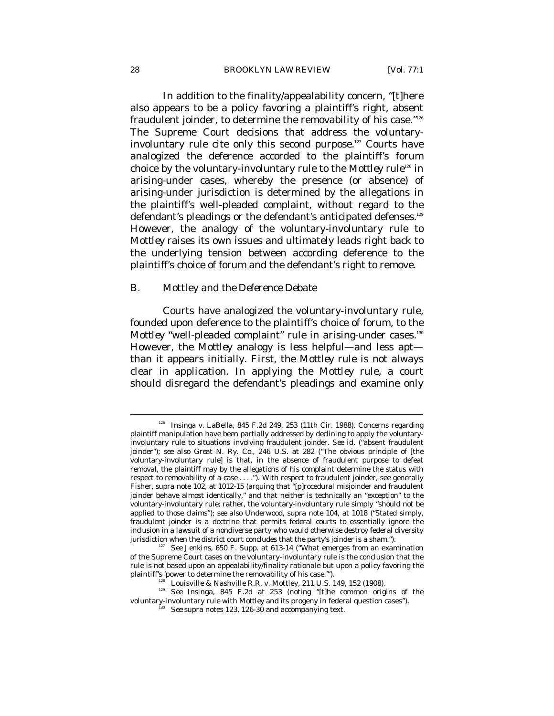In addition to the finality/appealability concern, "[t]here also appears to be a policy favoring a plaintiff's right, absent fraudulent joinder, to determine the removability of his case."<sup>126</sup> The Supreme Court decisions that address the voluntaryinvoluntary rule cite only this second purpose.<sup>127</sup> Courts have analogized the deference accorded to the plaintiff's forum choice by the voluntary-involuntary rule to the *Mottley* rule<sup>128</sup> in arising-under cases, whereby the presence (or absence) of arising-under jurisdiction is determined by the allegations in the plaintiff's well-pleaded complaint, without regard to the defendant's pleadings or the defendant's anticipated defenses.<sup>129</sup> However, the analogy of the voluntary-involuntary rule to *Mottley* raises its own issues and ultimately leads right back to the underlying tension between according deference to the plaintiff's choice of forum and the defendant's right to remove.

#### *B.* Mottley *and the Deference Debate*

Courts have analogized the voluntary-involuntary rule, founded upon deference to the plaintiff's choice of forum, to the *Mottley* "well-pleaded complaint" rule in arising-under cases.<sup>130</sup> However, the *Mottley* analogy is less helpful—and less apt than it appears initially. First, the *Mottley* rule is not always clear in application. In applying the *Mottley* rule, a court should disregard the defendant's pleadings and examine only

<sup>126</sup> Insinga v. LaBella, 845 F.2d 249, 253 (11th Cir. 1988). Concerns regarding plaintiff manipulation have been partially addressed by declining to apply the voluntaryinvoluntary rule to situations involving fraudulent joinder. *See id.* ("absent fraudulent joinder"); *see also Great N. Ry. Co.*, 246 U.S. at 282 ("The obvious principle of [the voluntary-involuntary rule] is that, in the absence of fraudulent purpose to defeat removal, the plaintiff may by the allegations of his complaint determine the status with respect to removability of a case . . . ."). With respect to fraudulent joinder, see generally Fisher, *supra* note 102, at 1012-15 (arguing that "[p]rocedural misjoinder and fraudulent joinder behave almost identically," and that neither is technically an "exception" to the voluntary-involuntary rule; rather, the voluntary-involuntary rule simply "should not be applied to those claims"); *see also* Underwood, *supra* note 104, at 1018 ("Stated simply, fraudulent joinder is a doctrine that permits federal courts to essentially ignore the inclusion in a lawsuit of a nondiverse party who would otherwise destroy federal diversity jurisdiction when the district court concludes that the party's joinder is a sham."). 127 *See Jenkins*, 650 F. Supp. at 613-14 ("What emerges from an examination

of the Supreme Court cases on the voluntary-involuntary rule is the conclusion that the rule is not based upon an appealability/finality rationale but upon a policy favoring the

plaintiff's 'power to determine the removability of his case.'").<br><sup>128</sup> Louisville & Nashville R.R. v. Mottley, 211 U.S. 149, 152 (1908).<br><sup>129</sup> *See Insinga*, 845 F.2d at 253 (noting "[t]he common origins of the voluntary-involuntary rule with *Mottley* and its progeny in federal question cases"). 130 *See supra* notes 123, 126-30 and accompanying text.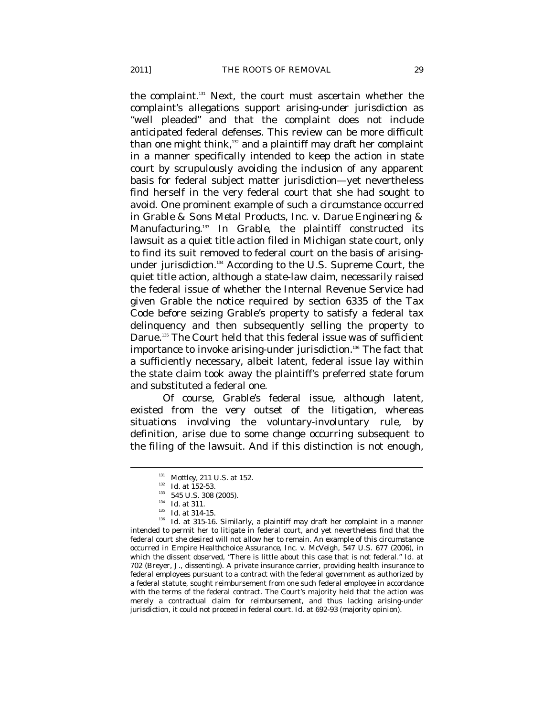the complaint.<sup>131</sup> Next, the court must ascertain whether the complaint's allegations support arising-under jurisdiction as "well pleaded" and that the complaint does not include anticipated federal defenses. This review can be more difficult than one might think,132 and a plaintiff may draft her complaint in a manner specifically intended to keep the action in state court by scrupulously avoiding the inclusion of any apparent basis for federal subject matter jurisdiction—yet nevertheless find herself in the very federal court that she had sought to avoid. One prominent example of such a circumstance occurred in *Grable & Sons Metal Products, Inc. v. Darue Engineering & Manufacturing*. 133 In *Grable*, the plaintiff constructed its lawsuit as a quiet title action filed in Michigan state court, only to find its suit removed to federal court on the basis of arisingunder jurisdiction.134 According to the U.S. Supreme Court, the quiet title action, although a state-law claim, necessarily raised the federal issue of whether the Internal Revenue Service had given Grable the notice required by section 6335 of the Tax Code before seizing Grable's property to satisfy a federal tax delinquency and then subsequently selling the property to Darue.<sup>135</sup> The Court held that this federal issue was of sufficient importance to invoke arising-under jurisdiction.<sup>136</sup> The fact that a sufficiently necessary, albeit latent, federal issue lay within the state claim took away the plaintiff's preferred state forum and substituted a federal one.

Of course, *Grable*'s federal issue, although latent, existed from the very outset of the litigation, whereas situations involving the voluntary-involuntary rule, by definition, arise due to some change occurring subsequent to the filing of the lawsuit. And if this distinction is not enough,

<sup>&</sup>lt;sup>131</sup> *Mottley*, 211 U.S. at 152.<br><sup>132</sup> *Id.* at 152-53.<br><sup>133</sup> 545 U.S. 308 (2005).<br><sup>134</sup> *Id.* at 311.<br><sup>135</sup> *Id.* at 315-16. Similarly, a plaintiff may draft her complaint in a manner intended to permit her to litigate in federal court, and yet nevertheless find that the federal court she desired will not allow her to remain. An example of this circumstance occurred in *Empire Healthchoice Assurance, Inc. v. McVeigh*, 547 U.S. 677 (2006), in which the dissent observed, "There is little about this case that is not federal." *Id.* at 702 (Breyer, J., dissenting). A private insurance carrier, providing health insurance to federal employees pursuant to a contract with the federal government as authorized by a federal statute, sought reimbursement from one such federal employee in accordance with the terms of the federal contract. The Court's majority held that the action was merely a contractual claim for reimbursement, and thus lacking arising-under jurisdiction, it could not proceed in federal court. *Id.* at 692-93 (majority opinion).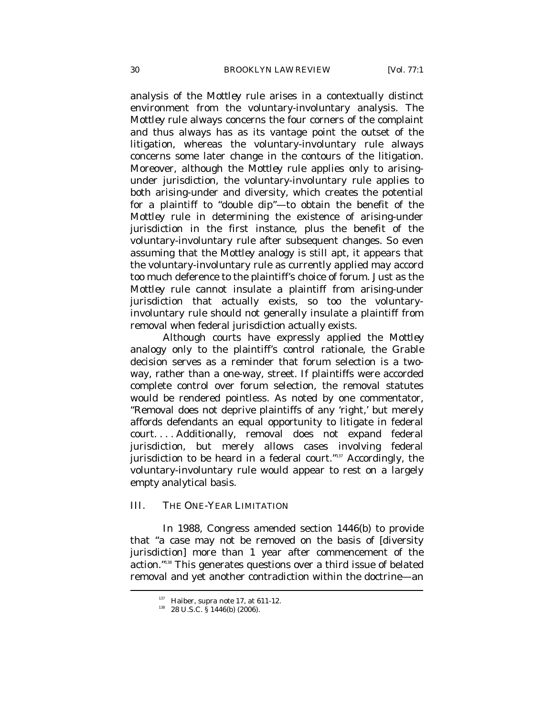analysis of the *Mottley* rule arises in a contextually distinct environment from the voluntary-involuntary analysis. The *Mottley* rule always concerns the four corners of the complaint and thus always has as its vantage point the outset of the litigation, whereas the voluntary-involuntary rule always concerns some later change in the contours of the litigation. Moreover, although the *Mottley* rule applies only to arisingunder jurisdiction, the voluntary-involuntary rule applies to both arising-under and diversity, which creates the potential for a plaintiff to "double dip"—to obtain the benefit of the *Mottley* rule in determining the existence of arising-under jurisdiction in the first instance, plus the benefit of the voluntary-involuntary rule after subsequent changes. So even assuming that the *Mottley* analogy is still apt, it appears that the voluntary-involuntary rule as currently applied may accord too much deference to the plaintiff's choice of forum. Just as the *Mottley* rule cannot insulate a plaintiff from arising-under jurisdiction that actually exists, so too the voluntaryinvoluntary rule should not generally insulate a plaintiff from removal when federal jurisdiction actually exists.

Although courts have expressly applied the *Mottley* analogy only to the plaintiff's control rationale, the *Grable* decision serves as a reminder that forum selection is a twoway, rather than a one-way, street. If plaintiffs were accorded complete control over forum selection, the removal statutes would be rendered pointless. As noted by one commentator, "Removal does not deprive plaintiffs of any 'right,' but merely affords defendants an equal opportunity to litigate in federal court. . . . Additionally, removal does not expand federal jurisdiction, but merely allows cases involving federal jurisdiction to be heard in a federal court."<sup>137</sup> Accordingly, the voluntary-involuntary rule would appear to rest on a largely empty analytical basis.

#### III. THE ONE-YEAR LIMITATION

In 1988, Congress amended section 1446(b) to provide that "a case may not be removed on the basis of [diversity jurisdiction] more than 1 year after commencement of the action."138 This generates questions over a third issue of belated removal and yet another contradiction within the doctrine—an

<sup>&</sup>lt;sup>137</sup> Haiber, *supra* note 17, at 611-12.<br><sup>138</sup> 28 U.S.C. § 1446(b) (2006).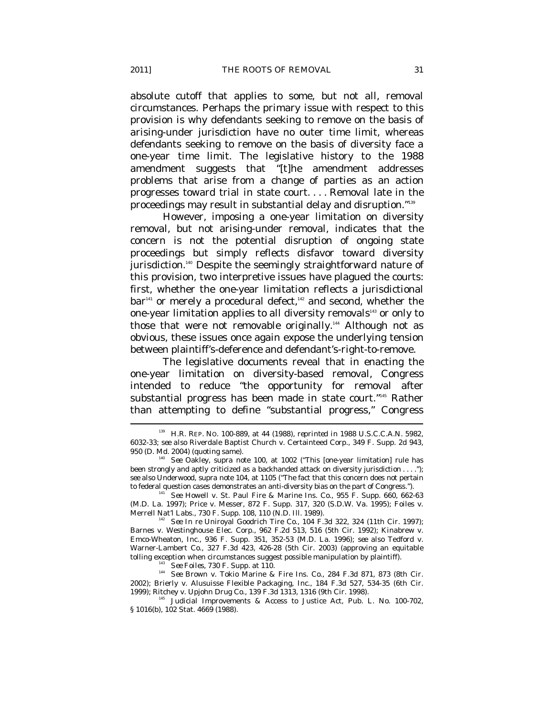absolute cutoff that applies to some, but not all, removal circumstances. Perhaps the primary issue with respect to this provision is why defendants seeking to remove on the basis of arising-under jurisdiction have no outer time limit, whereas defendants seeking to remove on the basis of diversity face a one-year time limit. The legislative history to the 1988 amendment suggests that "[t]he amendment addresses problems that arise from a change of parties as an action progresses toward trial in state court. . . . Removal late in the proceedings may result in substantial delay and disruption."139

However, imposing a one-year limitation on diversity removal, but not arising-under removal, indicates that the concern is not the potential disruption of ongoing state proceedings but simply reflects disfavor toward diversity jurisdiction.<sup>140</sup> Despite the seemingly straightforward nature of this provision, two interpretive issues have plagued the courts: first, whether the one-year limitation reflects a jurisdictional  $bar<sup>141</sup>$  or merely a procedural defect,<sup>142</sup> and second, whether the one-year limitation applies to all diversity removals<sup>143</sup> or only to those that were not removable originally.<sup>144</sup> Although not as obvious, these issues once again expose the underlying tension between plaintiff's-deference and defendant's-right-to-remove.

The legislative documents reveal that in enacting the one-year limitation on diversity-based removal, Congress intended to reduce "the opportunity for removal after substantial progress has been made in state court."145 Rather than attempting to define "substantial progress," Congress

<sup>139</sup> H.R. REP. NO. 100-889, at 44 (1988), *reprinted in* 1988 U.S.C.C.A.N. 5982, 6032-33; *see also* Riverdale Baptist Church v. Certainteed Corp., 349 F. Supp. 2d 943,

<sup>&</sup>lt;sup>3</sup> See Oakley, *supra* note 100, at 1002 ("This [one-year limitation] rule has been strongly and aptly criticized as a backhanded attack on diversity jurisdiction . . . ."); *see also* Underwood, *supra* note 104, at 1105 ("The fact that this concern does not pertain to federal question cases demonstrates an anti-diversity bias on the part of Congress.").<br><sup>141</sup> *See* Howell v. St. Paul Fire & Marine Ins. Co., 955 F. Supp. 660, 662-63

<sup>(</sup>M.D. La. 1997); Price v. Messer, 872 F. Supp. 317, 320 (S.D.W. Va. 1995); Foiles v.

Merrell Nat'l Labs., 730 F. Supp. 108, 110 (N.D. Ill. 1989). 142 *See In re* Uniroyal Goodrich Tire Co., 104 F.3d 322, 324 (11th Cir. 1997); Barnes v. Westinghouse Elec. Corp., 962 F.2d 513, 516 (5th Cir. 1992); Kinabrew v. Emco-Wheaton, Inc., 936 F. Supp. 351, 352-53 (M.D. La. 1996); *see also* Tedford v. Warner-Lambert Co., 327 F.3d 423, 426-28 (5th Cir. 2003) (approving an equitable tolling exception when circumstances suggest possible manipulation by plaintiff).

<sup>&</sup>lt;sup>143</sup> *See Foiles*, 730 F. Supp. at 110. 144<br><sup>144</sup> *See* Brown v. Tokio Marine & Fire Ins. Co., 284 F.3d 871, 873 (8th Cir. 2002); Brierly v. Alusuisse Flexible Packaging, Inc., 184 F.3d 527, 534-35 (6th Cir.

<sup>&</sup>lt;sup>145</sup> Judicial Improvements & Access to Justice Act, Pub. L. No. 100-702, § 1016(b), 102 Stat. 4669 (1988).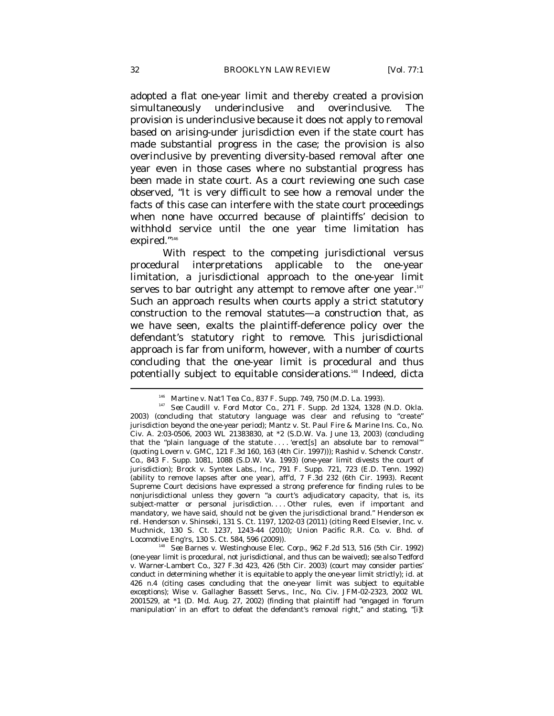adopted a flat one-year limit and thereby created a provision simultaneously underinclusive and overinclusive. The provision is underinclusive because it does not apply to removal based on arising-under jurisdiction even if the state court has made substantial progress in the case; the provision is also overinclusive by preventing diversity-based removal after one year even in those cases where no substantial progress has been made in state court. As a court reviewing one such case observed, "It is very difficult to see how a removal under the facts of this case can interfere with the state court proceedings when none have occurred because of plaintiffs' decision to withhold service until the one year time limitation has expired."146

With respect to the competing jurisdictional versus procedural interpretations applicable to the one-year limitation, a jurisdictional approach to the one-year limit serves to bar outright any attempt to remove after one year.<sup>147</sup> Such an approach results when courts apply a strict statutory construction to the removal statutes—a construction that, as we have seen, exalts the plaintiff-deference policy over the defendant's statutory right to remove. This jurisdictional approach is far from uniform, however, with a number of courts concluding that the one-year limit is procedural and thus potentially subject to equitable considerations.<sup>148</sup> Indeed, dicta

<sup>&</sup>lt;sup>146</sup> Martine v. Nat'l Tea Co., 837 F. Supp. 749, 750 (M.D. La. 1993).<br><sup>147</sup> *See* Caudill v. Ford Motor Co., 271 F. Supp. 2d 1324, 1328 (N.D. Okla. 2003) (concluding that statutory language was clear and refusing to "create" jurisdiction beyond the one-year period); Mantz v. St. Paul Fire & Marine Ins. Co., No. Civ. A. 2:03-0506, 2003 WL 21383830, at \*2 (S.D.W. Va. June 13, 2003) (concluding that the "plain language of the statute . . . . 'erect[s] *an absolute bar* to removal'" (quoting Lovern v. GMC, 121 F.3d 160, 163 (4th Cir. 1997))); Rashid v. Schenck Constr. Co., 843 F. Supp. 1081, 1088 (S.D.W. Va. 1993) (one-year limit divests the court of jurisdiction); Brock v. Syntex Labs., Inc., 791 F. Supp. 721, 723 (E.D. Tenn. 1992) (ability to remove lapses after one year), *aff'd*, 7 F.3d 232 (6th Cir. 1993). Recent Supreme Court decisions have expressed a strong preference for finding rules to be nonjurisdictional unless they govern "a court's adjudicatory capacity, that is, its subject-matter or personal jurisdiction. . . Other rules, even if important and mandatory, we have said, should not be given the jurisdictional brand." Henderson *ex rel.* Henderson v. Shinseki, 131 S. Ct. 1197, 1202-03 (2011) (citing Reed Elsevier, Inc. v. Muchnick, 130 S. Ct. 1237, 1243-44 (2010); Union Pacific R.R. Co. v. Bhd. of Locomotive Eng'rs, 130 S. Ct. 584, 596 (2009)). 148 *See* Barnes v. Westinghouse Elec. Corp., 962 F.2d 513, 516 (5th Cir. 1992)

<sup>(</sup>one-year limit is procedural, not jurisdictional, and thus can be waived); *see also* Tedford v. Warner-Lambert Co., 327 F.3d 423, 426 (5th Cir. 2003) (court may consider parties' conduct in determining whether it is equitable to apply the one-year limit strictly); *id.* at 426 n.4 (citing cases concluding that the one-year limit was subject to equitable exceptions); Wise v. Gallagher Bassett Servs., Inc., No. Civ. JFM-02-2323, 2002 WL 2001529, at \*1 (D. Md. Aug. 27, 2002) (finding that plaintiff had "engaged in 'forum manipulation' in an effort to defeat the defendant's removal right," and stating, "[i]t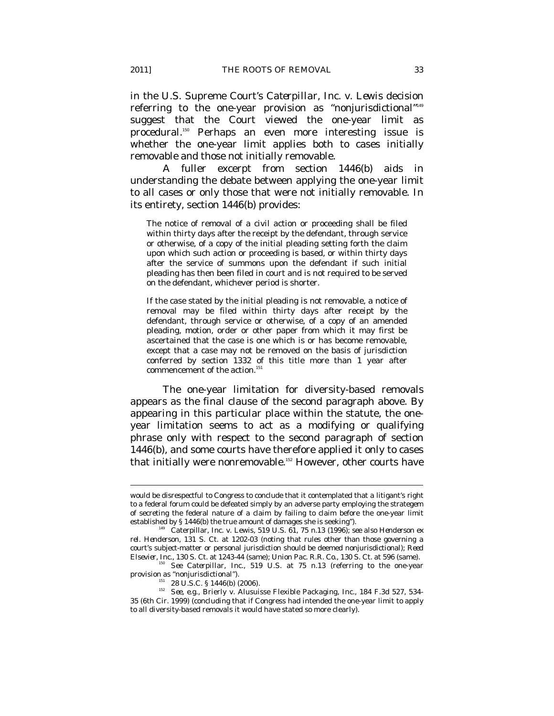in the U.S. Supreme Court's *Caterpillar, Inc. v. Lewis* decision referring to the one-year provision as "nonjurisdictional"149 suggest that the Court viewed the one-year limit as procedural.150 Perhaps an even more interesting issue is whether the one-year limit applies both to cases initially removable and those not initially removable.

A fuller excerpt from section 1446(b) aids in understanding the debate between applying the one-year limit to all cases or only those that were not initially removable. In its entirety, section 1446(b) provides:

The notice of removal of a civil action or proceeding shall be filed within thirty days after the receipt by the defendant, through service or otherwise, of a copy of the initial pleading setting forth the claim upon which such action or proceeding is based, or within thirty days after the service of summons upon the defendant if such initial pleading has then been filed in court and is not required to be served on the defendant, whichever period is shorter.

If the case stated by the initial pleading is not removable, a notice of removal may be filed within thirty days after receipt by the defendant, through service or otherwise, of a copy of an amended pleading, motion, order or other paper from which it may first be ascertained that the case is one which is or has become removable, except that a case may not be removed on the basis of jurisdiction conferred by section 1332 of this title more than 1 year after commencement of the action. $151$ 

The one-year limitation for diversity-based removals appears as the final clause of the second paragraph above. By appearing in this particular place within the statute, the oneyear limitation seems to act as a modifying or qualifying phrase only with respect to the second paragraph of section 1446(b), and some courts have therefore applied it only to cases that initially were nonremovable.<sup>152</sup> However, other courts have

<sup>150</sup> See Caterpillar, Inc., 519 U.S. at 75 n.13 (referring to the one-year provision as "nonjurisdictional").

would be disrespectful to Congress to conclude that it contemplated that a litigant's right to a federal forum could be defeated simply by an adverse party employing the strategem of secreting the federal nature of a claim by failing to claim before the one-year limit established by § 1446(b) the true amount of damages she is seeking").

<sup>&</sup>lt;sup>149</sup> Caterpillar, Inc. v. Lewis, 519 U.S. 61, 75 n.13 (1996); *see also Henderson ex rel. Henderson*, 131 S. Ct. at 1202-03 (noting that rules other than those governing a court's subject-matter or personal jurisdiction should be deemed nonjurisdictional); *Reed* 

<sup>&</sup>lt;sup>151</sup> 28 U.S.C. § 1446(b) (2006). <sup>152</sup> See, e.g., Brierly v. Alusuisse Flexible Packaging, Inc., 184 F.3d 527, 534-35 (6th Cir. 1999) (concluding that if Congress had intended the one-year limit to apply to all diversity-based removals it would have stated so more clearly).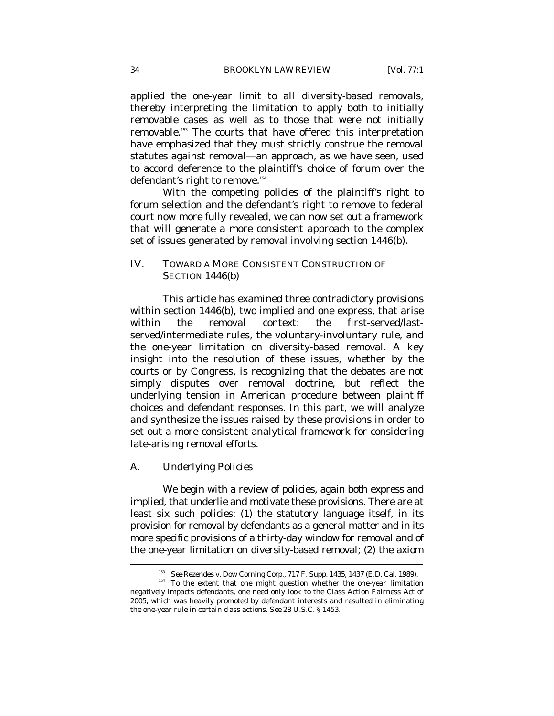applied the one-year limit to all diversity-based removals, thereby interpreting the limitation to apply both to initially removable cases as well as to those that were not initially removable.153 The courts that have offered this interpretation have emphasized that they must strictly construe the removal statutes against removal—an approach, as we have seen, used to accord deference to the plaintiff's choice of forum over the defendant's right to remove.<sup>154</sup>

With the competing policies of the plaintiff's right to forum selection and the defendant's right to remove to federal court now more fully revealed, we can now set out a framework that will generate a more consistent approach to the complex set of issues generated by removal involving section 1446(b).

# IV. TOWARD A MORE CONSISTENT CONSTRUCTION OF SECTION 1446(b)

This article has examined three contradictory provisions within section 1446(b), two implied and one express, that arise within the removal context: the first-served/lastserved/intermediate rules, the voluntary-involuntary rule, and the one-year limitation on diversity-based removal. A key insight into the resolution of these issues, whether by the courts or by Congress, is recognizing that the debates are not simply disputes over removal doctrine, but reflect the underlying tension in American procedure between plaintiff choices and defendant responses. In this part, we will analyze and synthesize the issues raised by these provisions in order to set out a more consistent analytical framework for considering late-arising removal efforts.

#### *A. Underlying Policies*

 $\overline{a}$ 

We begin with a review of policies, again both express and implied, that underlie and motivate these provisions. There are at least six such policies: (1) the statutory language itself, in its provision for removal by defendants as a general matter and in its more specific provisions of a thirty-day window for removal and of the one-year limitation on diversity-based removal; (2) the axiom

<sup>&</sup>lt;sup>153</sup> See Rezendes v. Dow Corning Corp., 717 F. Supp. 1435, 1437 (E.D. Cal. 1989).<br><sup>154</sup> To the extent that one might question whether the one-year limitation negatively impacts defendants, one need only look to the Class Action Fairness Act of 2005, which was heavily promoted by defendant interests and resulted in eliminating the one-year rule in certain class actions. *See* 28 U.S.C. § 1453.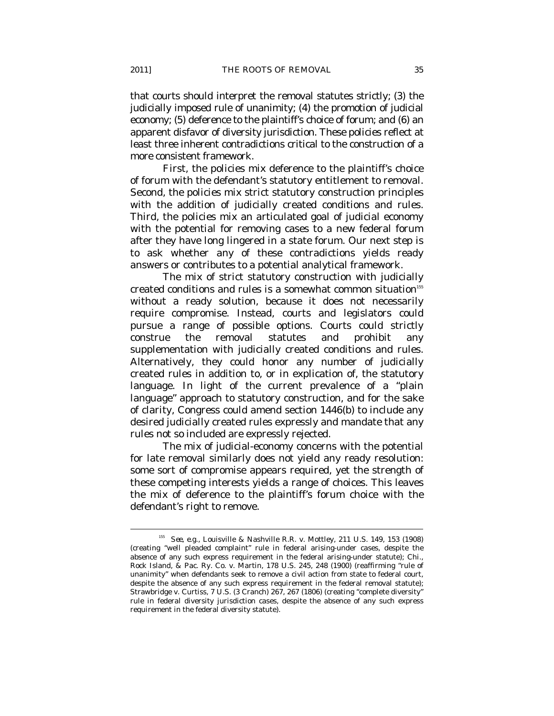that courts should interpret the removal statutes strictly; (3) the judicially imposed rule of unanimity; (4) the promotion of judicial economy; (5) deference to the plaintiff's choice of forum; and (6) an apparent disfavor of diversity jurisdiction. These policies reflect at least three inherent contradictions critical to the construction of a more consistent framework.

First, the policies mix deference to the plaintiff's choice of forum with the defendant's statutory entitlement to removal. Second, the policies mix strict statutory construction principles with the addition of judicially created conditions and rules. Third, the policies mix an articulated goal of judicial economy with the potential for removing cases to a new federal forum after they have long lingered in a state forum. Our next step is to ask whether any of these contradictions yields ready answers or contributes to a potential analytical framework.

The mix of strict statutory construction with judicially created conditions and rules is a somewhat common situation<sup>155</sup> without a ready solution, because it does not necessarily require compromise. Instead, courts and legislators could pursue a range of possible options. Courts could strictly construe the removal statutes and prohibit any supplementation with judicially created conditions and rules. Alternatively, they could honor any number of judicially created rules in addition to, or in explication of, the statutory language. In light of the current prevalence of a "plain language" approach to statutory construction, and for the sake of clarity, Congress could amend section 1446(b) to include any desired judicially created rules expressly and mandate that any rules not so included are expressly rejected.

The mix of judicial-economy concerns with the potential for late removal similarly does not yield any ready resolution: some sort of compromise appears required, yet the strength of these competing interests yields a range of choices. This leaves the mix of deference to the plaintiff's forum choice with the defendant's right to remove.

<sup>155</sup> *See, e.g.*, Louisville & Nashville R.R. v. Mottley, 211 U.S. 149, 153 (1908) (creating "well pleaded complaint" rule in federal arising-under cases, despite the absence of any such express requirement in the federal arising-under statute); Chi., Rock Island, & Pac. Ry. Co. v. Martin, 178 U.S. 245, 248 (1900) (reaffirming "rule of unanimity" when defendants seek to remove a civil action from state to federal court, despite the absence of any such express requirement in the federal removal statute); Strawbridge v. Curtiss, 7 U.S. (3 Cranch) 267, 267 (1806) (creating "complete diversity" rule in federal diversity jurisdiction cases, despite the absence of any such express requirement in the federal diversity statute).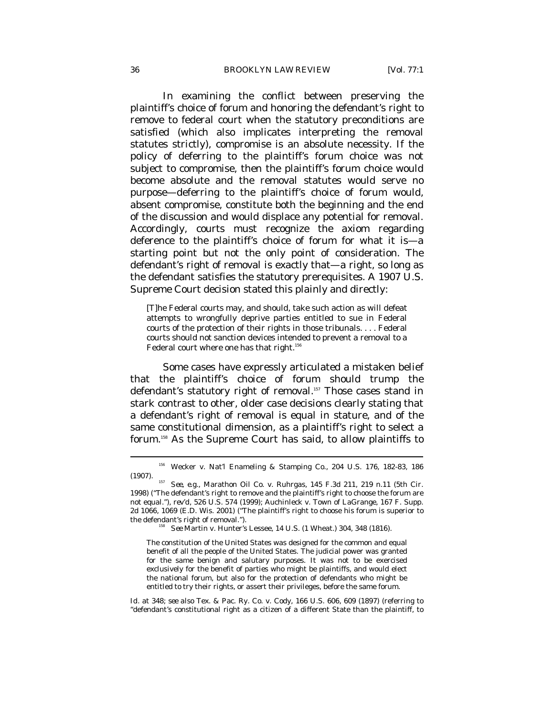In examining the conflict between preserving the plaintiff's choice of forum and honoring the defendant's right to remove to federal court when the statutory preconditions are satisfied (which also implicates interpreting the removal statutes strictly), compromise is an absolute necessity. If the policy of deferring to the plaintiff's forum choice was not subject to compromise, then the plaintiff's forum choice would become absolute and the removal statutes would serve no purpose—deferring to the plaintiff's choice of forum would, absent compromise, constitute both the beginning and the end of the discussion and would displace any potential for removal. Accordingly, courts must recognize the axiom regarding deference to the plaintiff's choice of forum for what it is—a starting point but not the only point of consideration. The defendant's right of removal is exactly that—a right, so long as the defendant satisfies the statutory prerequisites. A 1907 U.S. Supreme Court decision stated this plainly and directly:

[T]he Federal courts may, and should, take such action as will defeat attempts to wrongfully deprive parties entitled to sue in Federal courts of the protection of their rights in those tribunals. . . . Federal courts should not sanction devices intended to prevent a removal to a Federal court where one has that right.<sup>156</sup>

Some cases have expressly articulated a mistaken belief that the plaintiff's choice of forum should trump the defendant's statutory right of removal.<sup>157</sup> Those cases stand in stark contrast to other, older case decisions clearly stating that a defendant's right of removal is equal in stature, and of the same constitutional dimension, as a plaintiff's right to select a forum.158 As the Supreme Court has said, to allow plaintiffs to

*Id.* at 348; *see also* Tex. & Pac. Ry. Co. v. Cody, 166 U.S. 606, 609 (1897) (referring to "defendant's constitutional right as a citizen of a different State than the plaintiff, to

<sup>156</sup> Wecker v. Nat'l Enameling & Stamping Co., 204 U.S. 176, 182-83, 186 (1907). 157 *See, e.g*., Marathon Oil Co. v. Ruhrgas, 145 F.3d 211, 219 n.11 (5th Cir.

<sup>1998) (&</sup>quot;The defendant's right to remove and the plaintiff's right to choose the forum are not equal."), *rev'd*, 526 U.S. 574 (1999); Auchinleck v. Town of LaGrange, 167 F. Supp. 2d 1066, 1069 (E.D. Wis. 2001) ("The plaintiff's right to choose his forum is superior to the defendant's right of removal."). 158 *See* Martin v. Hunter's Lessee, 14 U.S. (1 Wheat.) 304, 348 (1816).

The constitution of the United States was designed for the common and equal benefit of all the people of the United States. The judicial power was granted for the same benign and salutary purposes. It was not to be exercised exclusively for the benefit of parties who might be plaintiffs, and would elect the national forum, but also for the protection of defendants who might be entitled to try their rights, or assert their privileges, before the same forum.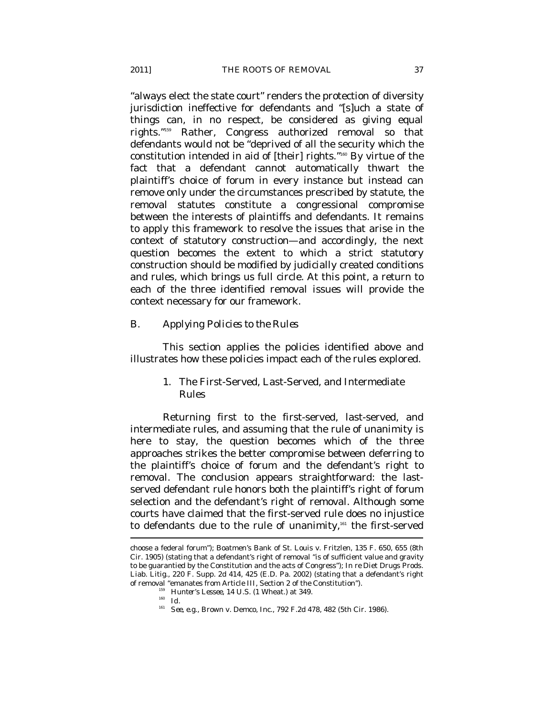"always elect the state court" renders the protection of diversity jurisdiction ineffective for defendants and "[s]uch a state of things can, in no respect, be considered as giving equal rights."159 Rather, Congress authorized removal so that defendants would not be "deprived of all the security which the constitution intended in aid of [their] rights."160 By virtue of the fact that a defendant cannot automatically thwart the plaintiff's choice of forum in every instance but instead can remove only under the circumstances prescribed by statute, the removal statutes constitute a congressional compromise between the interests of plaintiffs and defendants. It remains to apply this framework to resolve the issues that arise in the context of statutory construction—and accordingly, the next question becomes the extent to which a strict statutory construction should be modified by judicially created conditions and rules, which brings us full circle. At this point, a return to each of the three identified removal issues will provide the context necessary for our framework.

### *B. Applying Policies to the Rules*

This section applies the policies identified above and illustrates how these policies impact each of the rules explored.

# 1. The First-Served, Last-Served, and Intermediate Rules

Returning first to the first-served, last-served, and intermediate rules, and assuming that the rule of unanimity is here to stay, the question becomes which of the three approaches strikes the better compromise between deferring to the plaintiff's choice of forum and the defendant's right to removal. The conclusion appears straightforward: the lastserved defendant rule honors both the plaintiff's right of forum selection and the defendant's right of removal. Although some courts have claimed that the first-served rule does no injustice to defendants due to the rule of unanimity,<sup>161</sup> the first-served

choose a federal forum"); Boatmen's Bank of St. Louis v. Fritzlen, 135 F. 650, 655 (8th Cir. 1905) (stating that a defendant's right of removal "is of sufficient value and gravity to be guarantied by the Constitution and the acts of Congress"); *In re* Diet Drugs Prods. Liab. Litig., 220 F. Supp. 2d 414, 425 (E.D. Pa. 2002) (stating that a defendant's right of removal "emanates from Article III, Section 2 of the Constitution").<br>
<sup>159</sup> Hunter's Lessee, 14 U.S. (1 Wheat.) at 349.<br>
<sup>161</sup> *See, e.g.*, Brown v. Demco, Inc., 792 F.2d 478, 482 (5th Cir. 1986).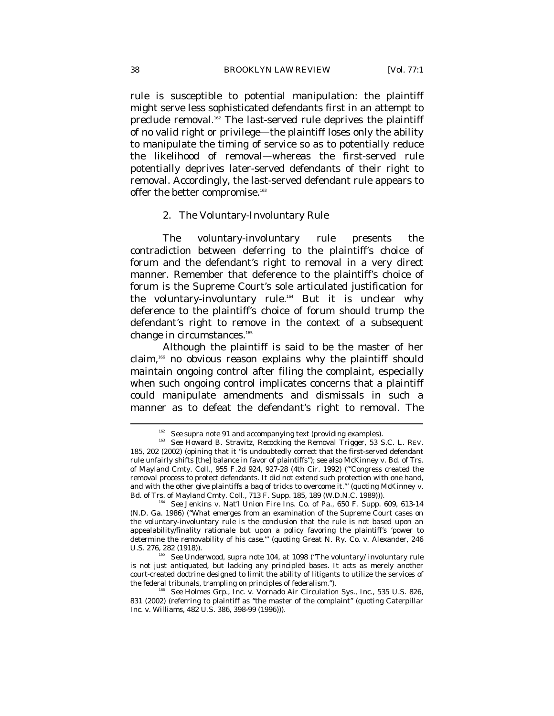rule is susceptible to potential manipulation: the plaintiff might serve less sophisticated defendants first in an attempt to preclude removal.<sup>162</sup> The last-served rule deprives the plaintiff of no valid right or privilege—the plaintiff loses only the ability to manipulate the timing of service so as to potentially reduce the likelihood of removal—whereas the first-served rule potentially deprives later-served defendants of their right to removal. Accordingly, the last-served defendant rule appears to offer the better compromise.<sup>163</sup>

#### 2. The Voluntary-Involuntary Rule

The voluntary-involuntary rule presents the contradiction between deferring to the plaintiff's choice of forum and the defendant's right to removal in a very direct manner. Remember that deference to the plaintiff's choice of forum is the Supreme Court's sole articulated justification for the voluntary-involuntary rule.164 But it is unclear why deference to the plaintiff's choice of forum should trump the defendant's right to remove in the context of a subsequent change in circumstances.<sup>165</sup>

Although the plaintiff is said to be the master of her claim,166 no obvious reason explains why the plaintiff should maintain ongoing control after filing the complaint, especially when such ongoing control implicates concerns that a plaintiff could manipulate amendments and dismissals in such a manner as to defeat the defendant's right to removal. The

<sup>&</sup>lt;sup>162</sup> *See supra* note 91 and accompanying text (providing examples).<br><sup>163</sup> *See* Howard B. Stravitz, *Recocking the Removal Trigger*, 53 S.C. L. REV. 185, 202 (2002) (opining that it "is undoubtedly correct that the first-served defendant rule unfairly shifts [the] balance in favor of plaintiffs"); *see also* McKinney v. Bd. of Trs. of Mayland Cmty. Coll., 955 F.2d 924, 927-28 (4th Cir. 1992) ("'Congress created the removal process to protect defendants. It did not extend such protection with one hand, and with the other give plaintiffs a bag of tricks to overcome it.'" (quoting McKinney v.

Bd. of Trs. of Mayland Cmty. Coll., 713 F. Supp. 185, 189 (W.D.N.C. 1989))). 164 *See* Jenkins v. Nat'l Union Fire Ins. Co. of Pa., 650 F. Supp. 609, 613-14 (N.D. Ga. 1986) ("What emerges from an examination of the Supreme Court cases on the voluntary-involuntary rule is the conclusion that the rule is not based upon an appealability/finality rationale but upon a policy favoring the plaintiff's 'power to determine the removability of his case.'" (quoting Great N. Ry. Co. v. Alexander, 246 U.S. 276, 282 (1918)). 165 *See* Underwood, *supra* note 104, at 1098 ("The voluntary/ involuntary rule

is not just antiquated, but lacking any principled bases. It acts as merely another court-created doctrine designed to limit the ability of litigants to utilize the services of the federal tribunals, trampling on principles of federalism.").<br><sup>166</sup> See Holmes Grp., Inc. v. Vornado Air Circulation Sys., Inc., 535 U.S. 826,

<sup>831 (2002) (</sup>referring to plaintiff as "the master of the complaint" (quoting Caterpillar Inc. v. Williams, 482 U.S. 386, 398-99 (1996))).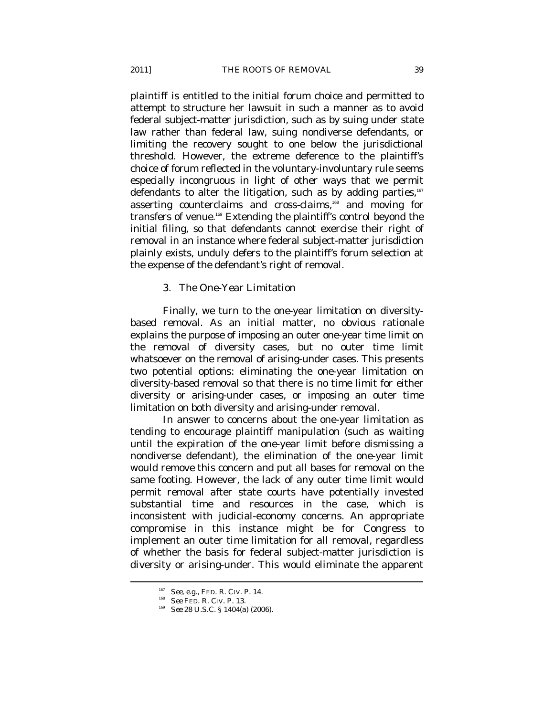plaintiff is entitled to the initial forum choice and permitted to attempt to structure her lawsuit in such a manner as to avoid federal subject-matter jurisdiction, such as by suing under state law rather than federal law, suing nondiverse defendants, or limiting the recovery sought to one below the jurisdictional threshold. However, the extreme deference to the plaintiff's choice of forum reflected in the voluntary-involuntary rule seems especially incongruous in light of other ways that we permit defendants to alter the litigation, such as by adding parties,<sup>167</sup> asserting counterclaims and cross-claims,<sup>168</sup> and moving for transfers of venue.169 Extending the plaintiff's control beyond the initial filing, so that defendants cannot exercise their right of removal in an instance where federal subject-matter jurisdiction plainly exists, unduly defers to the plaintiff's forum selection at the expense of the defendant's right of removal.

#### 3. The One-Year Limitation

Finally, we turn to the one-year limitation on diversitybased removal. As an initial matter, no obvious rationale explains the purpose of imposing an outer one-year time limit on the removal of diversity cases, but no outer time limit whatsoever on the removal of arising-under cases. This presents two potential options: eliminating the one-year limitation on diversity-based removal so that there is no time limit for either diversity or arising-under cases, or imposing an outer time limitation on both diversity and arising-under removal.

In answer to concerns about the one-year limitation as tending to encourage plaintiff manipulation (such as waiting until the expiration of the one-year limit before dismissing a nondiverse defendant), the elimination of the one-year limit would remove this concern and put all bases for removal on the same footing. However, the lack of any outer time limit would permit removal after state courts have potentially invested substantial time and resources in the case, which is inconsistent with judicial-economy concerns. An appropriate compromise in this instance might be for Congress to implement an outer time limitation for all removal, regardless of whether the basis for federal subject-matter jurisdiction is diversity or arising-under. This would eliminate the apparent

<sup>167</sup> *See, e.g*., FED. R. CIV. P. 14. 168 *See* FED. R. CIV. P. 13. 169 *See* 28 U.S.C. § 1404(a) (2006).